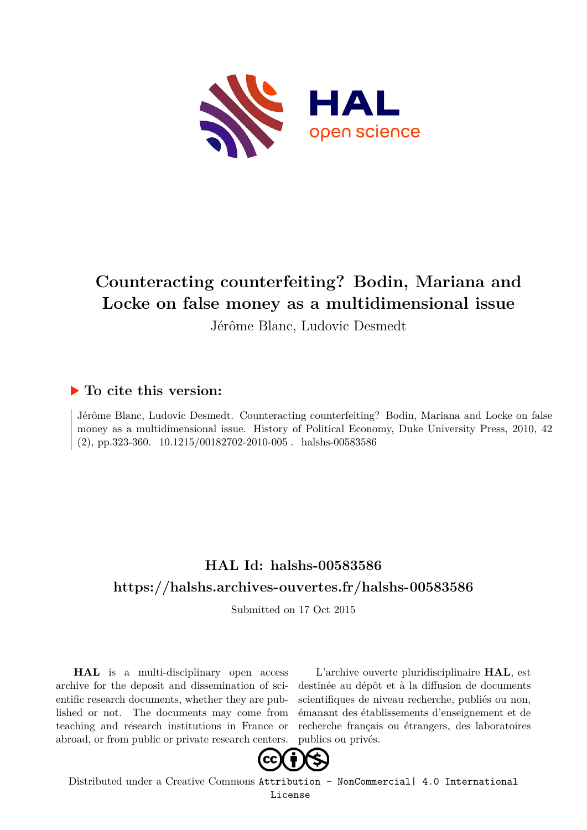

# **Counteracting counterfeiting? Bodin, Mariana and Locke on false money as a multidimensional issue**

Jérôme Blanc, Ludovic Desmedt

# **To cite this version:**

Jérôme Blanc, Ludovic Desmedt. Counteracting counterfeiting? Bodin, Mariana and Locke on false money as a multidimensional issue. History of Political Economy, Duke University Press, 2010, 42  $(2)$ , pp.323-360.  $10.1215/00182702-2010-005$ . halshs-00583586

# **HAL Id: halshs-00583586 <https://halshs.archives-ouvertes.fr/halshs-00583586>**

Submitted on 17 Oct 2015

**HAL** is a multi-disciplinary open access archive for the deposit and dissemination of scientific research documents, whether they are published or not. The documents may come from teaching and research institutions in France or abroad, or from public or private research centers.

L'archive ouverte pluridisciplinaire **HAL**, est destinée au dépôt et à la diffusion de documents scientifiques de niveau recherche, publiés ou non, émanant des établissements d'enseignement et de recherche français ou étrangers, des laboratoires publics ou privés.



Distributed under a Creative Commons [Attribution - NonCommercial| 4.0 International](http://creativecommons.org/licenses/by-nc/4.0/) [License](http://creativecommons.org/licenses/by-nc/4.0/)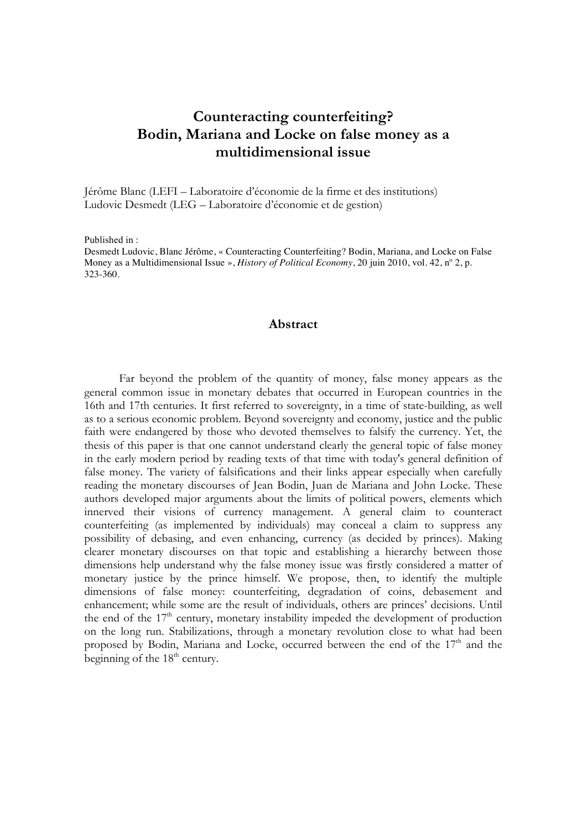# **Counteracting counterfeiting? Bodin, Mariana and Locke on false money as a multidimensional issue**

Jérôme Blanc (LEFI – Laboratoire d'économie de la firme et des institutions) Ludovic Desmedt (LEG – Laboratoire d'économie et de gestion)

Published in :

Desmedt Ludovic, Blanc Jérôme, « Counteracting Counterfeiting? Bodin, Mariana, and Locke on False Money as a Multidimensional Issue », *History of Political Economy*, 20 juin 2010, vol. 42, n° 2, p. 323-360.

#### **Abstract**

Far beyond the problem of the quantity of money, false money appears as the general common issue in monetary debates that occurred in European countries in the 16th and 17th centuries. It first referred to sovereignty, in a time of state-building, as well as to a serious economic problem. Beyond sovereignty and economy, justice and the public faith were endangered by those who devoted themselves to falsify the currency. Yet, the thesis of this paper is that one cannot understand clearly the general topic of false money in the early modern period by reading texts of that time with today's general definition of false money. The variety of falsifications and their links appear especially when carefully reading the monetary discourses of Jean Bodin, Juan de Mariana and John Locke. These authors developed major arguments about the limits of political powers, elements which innerved their visions of currency management. A general claim to counteract counterfeiting (as implemented by individuals) may conceal a claim to suppress any possibility of debasing, and even enhancing, currency (as decided by princes). Making clearer monetary discourses on that topic and establishing a hierarchy between those dimensions help understand why the false money issue was firstly considered a matter of monetary justice by the prince himself. We propose, then, to identify the multiple dimensions of false money: counterfeiting, degradation of coins, debasement and enhancement; while some are the result of individuals, others are princes' decisions. Until the end of the  $17<sup>th</sup>$  century, monetary instability impeded the development of production on the long run. Stabilizations, through a monetary revolution close to what had been proposed by Bodin, Mariana and Locke, occurred between the end of the  $17<sup>th</sup>$  and the beginning of the 18<sup>th</sup> century.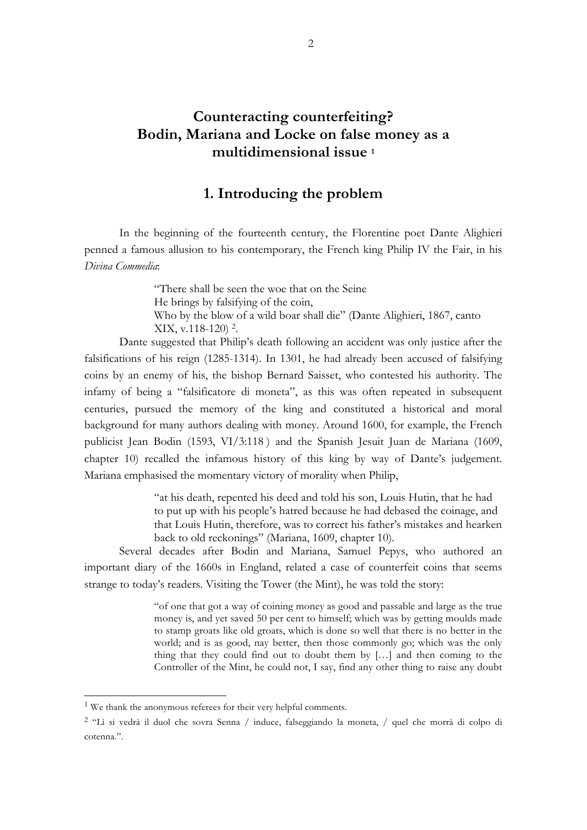# **Counteracting counterfeiting? Bodin, Mariana and Locke on false money as a multidimensional issue <sup>1</sup>**

## **1. Introducing the problem**

In the beginning of the fourteenth century, the Florentine poet Dante Alighieri penned a famous allusion to his contemporary, the French king Philip IV the Fair, in his *Divina Commedia*:

> "There shall be seen the woe that on the Seine He brings by falsifying of the coin, Who by the blow of a wild boar shall die" (Dante Alighieri, 1867, canto XIX, v.118-120) 2.

Dante suggested that Philip's death following an accident was only justice after the falsifications of his reign (1285-1314). In 1301, he had already been accused of falsifying coins by an enemy of his, the bishop Bernard Saisset, who contested his authority. The infamy of being a "falsificatore di moneta", as this was often repeated in subsequent centuries, pursued the memory of the king and constituted a historical and moral background for many authors dealing with money. Around 1600, for example, the French publicist Jean Bodin (1593, VI/3:118 ) and the Spanish Jesuit Juan de Mariana (1609, chapter 10) recalled the infamous history of this king by way of Dante's judgement. Mariana emphasised the momentary victory of morality when Philip,

> "at his death, repented his deed and told his son, Louis Hutin, that he had to put up with his people's hatred because he had debased the coinage, and that Louis Hutin, therefore, was to correct his father's mistakes and hearken back to old reckonings" (Mariana, 1609, chapter 10).

Several decades after Bodin and Mariana, Samuel Pepys, who authored an important diary of the 1660s in England, related a case of counterfeit coins that seems strange to today's readers. Visiting the Tower (the Mint), he was told the story:

> "of one that got a way of coining money as good and passable and large as the true money is, and yet saved 50 per cent to himself; which was by getting moulds made to stamp groats like old groats, which is done so well that there is no better in the world; and is as good, nay better, then those commonly go; which was the only thing that they could find out to doubt them by […] and then coming to the Controller of the Mint, he could not, I say, find any other thing to raise any doubt

<sup>1</sup> We thank the anonymous referees for their very helpful comments.

<sup>2</sup> "Lì si vedrà il duol che sovra Senna / induce, falseggiando la moneta, / quel che morrà di colpo di cotenna.".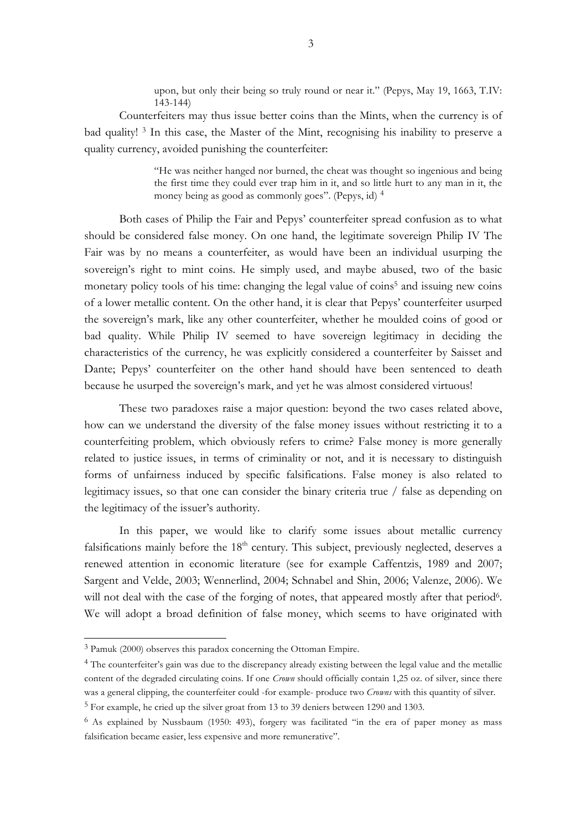upon, but only their being so truly round or near it." (Pepys, May 19, 1663, T.IV: 143-144)

Counterfeiters may thus issue better coins than the Mints, when the currency is of bad quality! 3 In this case, the Master of the Mint, recognising his inability to preserve a quality currency, avoided punishing the counterfeiter:

> "He was neither hanged nor burned, the cheat was thought so ingenious and being the first time they could ever trap him in it, and so little hurt to any man in it, the money being as good as commonly goes". (Pepys, id) <sup>4</sup>

Both cases of Philip the Fair and Pepys' counterfeiter spread confusion as to what should be considered false money. On one hand, the legitimate sovereign Philip IV The Fair was by no means a counterfeiter, as would have been an individual usurping the sovereign's right to mint coins. He simply used, and maybe abused, two of the basic monetary policy tools of his time: changing the legal value of coins<sup>5</sup> and issuing new coins of a lower metallic content. On the other hand, it is clear that Pepys' counterfeiter usurped the sovereign's mark, like any other counterfeiter, whether he moulded coins of good or bad quality. While Philip IV seemed to have sovereign legitimacy in deciding the characteristics of the currency, he was explicitly considered a counterfeiter by Saisset and Dante; Pepys' counterfeiter on the other hand should have been sentenced to death because he usurped the sovereign's mark, and yet he was almost considered virtuous!

These two paradoxes raise a major question: beyond the two cases related above, how can we understand the diversity of the false money issues without restricting it to a counterfeiting problem, which obviously refers to crime? False money is more generally related to justice issues, in terms of criminality or not, and it is necessary to distinguish forms of unfairness induced by specific falsifications. False money is also related to legitimacy issues, so that one can consider the binary criteria true / false as depending on the legitimacy of the issuer's authority.

In this paper, we would like to clarify some issues about metallic currency falsifications mainly before the  $18<sup>th</sup>$  century. This subject, previously neglected, deserves a renewed attention in economic literature (see for example Caffentzis, 1989 and 2007; Sargent and Velde, 2003; Wennerlind, 2004; Schnabel and Shin, 2006; Valenze, 2006). We will not deal with the case of the forging of notes, that appeared mostly after that period<sup>6</sup>. We will adopt a broad definition of false money, which seems to have originated with

-

<sup>3</sup> Pamuk (2000) observes this paradox concerning the Ottoman Empire.

<sup>4</sup> The counterfeiter's gain was due to the discrepancy already existing between the legal value and the metallic content of the degraded circulating coins. If one *Crown* should officially contain 1,25 oz. of silver, since there was a general clipping, the counterfeiter could -for example- produce two *Crowns* with this quantity of silver. <sup>5</sup> For example, he cried up the silver groat from 13 to 39 deniers between 1290 and 1303.

<sup>6</sup> As explained by Nussbaum (1950: 493), forgery was facilitated "in the era of paper money as mass falsification became easier, less expensive and more remunerative".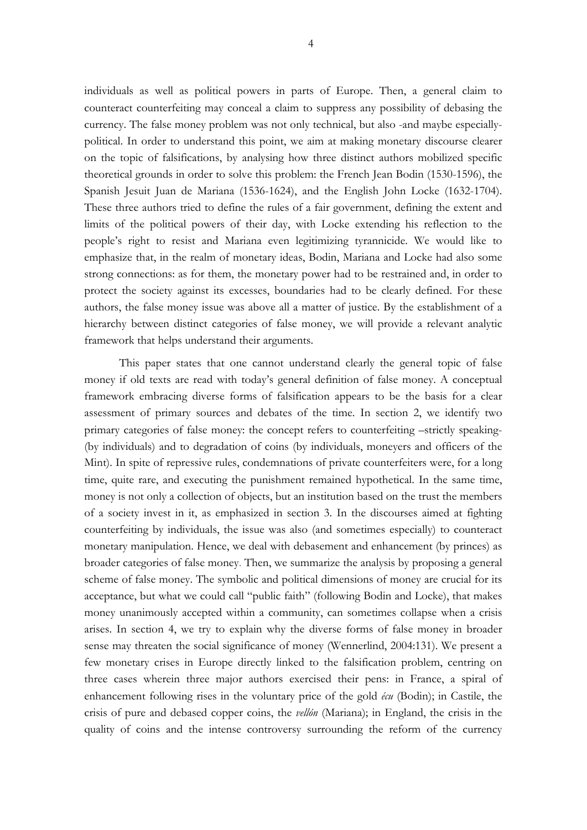individuals as well as political powers in parts of Europe. Then, a general claim to counteract counterfeiting may conceal a claim to suppress any possibility of debasing the currency. The false money problem was not only technical, but also -and maybe especiallypolitical. In order to understand this point, we aim at making monetary discourse clearer on the topic of falsifications, by analysing how three distinct authors mobilized specific theoretical grounds in order to solve this problem: the French Jean Bodin (1530-1596), the Spanish Jesuit Juan de Mariana (1536-1624), and the English John Locke (1632-1704). These three authors tried to define the rules of a fair government, defining the extent and limits of the political powers of their day, with Locke extending his reflection to the people's right to resist and Mariana even legitimizing tyrannicide. We would like to emphasize that, in the realm of monetary ideas, Bodin, Mariana and Locke had also some strong connections: as for them, the monetary power had to be restrained and, in order to protect the society against its excesses, boundaries had to be clearly defined. For these authors, the false money issue was above all a matter of justice. By the establishment of a hierarchy between distinct categories of false money, we will provide a relevant analytic framework that helps understand their arguments.

This paper states that one cannot understand clearly the general topic of false money if old texts are read with today's general definition of false money. A conceptual framework embracing diverse forms of falsification appears to be the basis for a clear assessment of primary sources and debates of the time. In section 2, we identify two primary categories of false money: the concept refers to counterfeiting –strictly speaking- (by individuals) and to degradation of coins (by individuals, moneyers and officers of the Mint). In spite of repressive rules, condemnations of private counterfeiters were, for a long time, quite rare, and executing the punishment remained hypothetical. In the same time, money is not only a collection of objects, but an institution based on the trust the members of a society invest in it, as emphasized in section 3. In the discourses aimed at fighting counterfeiting by individuals, the issue was also (and sometimes especially) to counteract monetary manipulation. Hence, we deal with debasement and enhancement (by princes) as broader categories of false money. Then, we summarize the analysis by proposing a general scheme of false money. The symbolic and political dimensions of money are crucial for its acceptance, but what we could call "public faith" (following Bodin and Locke), that makes money unanimously accepted within a community, can sometimes collapse when a crisis arises. In section 4, we try to explain why the diverse forms of false money in broader sense may threaten the social significance of money (Wennerlind, 2004:131). We present a few monetary crises in Europe directly linked to the falsification problem, centring on three cases wherein three major authors exercised their pens: in France, a spiral of enhancement following rises in the voluntary price of the gold *écu* (Bodin); in Castile, the crisis of pure and debased copper coins, the *vellón* (Mariana); in England, the crisis in the quality of coins and the intense controversy surrounding the reform of the currency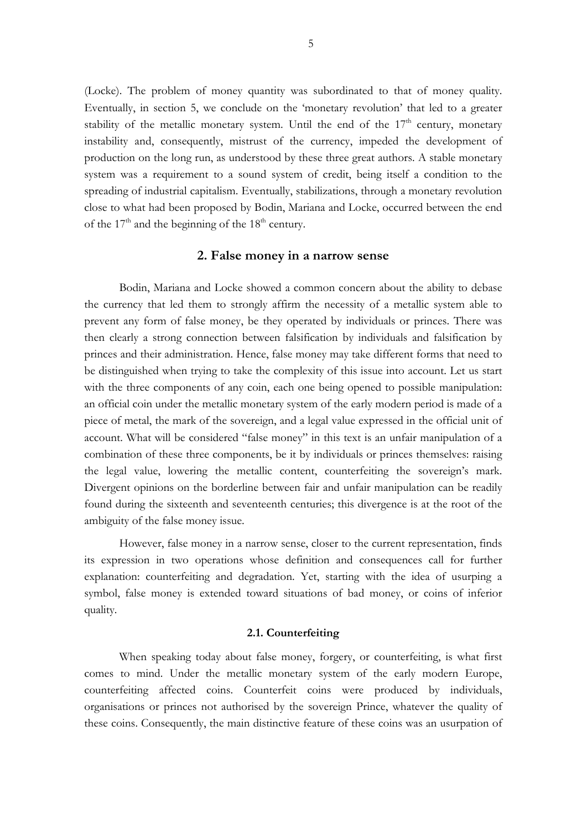(Locke). The problem of money quantity was subordinated to that of money quality. Eventually, in section 5, we conclude on the 'monetary revolution' that led to a greater stability of the metallic monetary system. Until the end of the  $17<sup>th</sup>$  century, monetary instability and, consequently, mistrust of the currency, impeded the development of production on the long run, as understood by these three great authors. A stable monetary system was a requirement to a sound system of credit, being itself a condition to the spreading of industrial capitalism. Eventually, stabilizations, through a monetary revolution close to what had been proposed by Bodin, Mariana and Locke, occurred between the end of the  $17<sup>th</sup>$  and the beginning of the  $18<sup>th</sup>$  century.

#### **2. False money in a narrow sense**

Bodin, Mariana and Locke showed a common concern about the ability to debase the currency that led them to strongly affirm the necessity of a metallic system able to prevent any form of false money, be they operated by individuals or princes. There was then clearly a strong connection between falsification by individuals and falsification by princes and their administration. Hence, false money may take different forms that need to be distinguished when trying to take the complexity of this issue into account. Let us start with the three components of any coin, each one being opened to possible manipulation: an official coin under the metallic monetary system of the early modern period is made of a piece of metal, the mark of the sovereign, and a legal value expressed in the official unit of account. What will be considered "false money" in this text is an unfair manipulation of a combination of these three components, be it by individuals or princes themselves: raising the legal value, lowering the metallic content, counterfeiting the sovereign's mark. Divergent opinions on the borderline between fair and unfair manipulation can be readily found during the sixteenth and seventeenth centuries; this divergence is at the root of the ambiguity of the false money issue.

However, false money in a narrow sense, closer to the current representation, finds its expression in two operations whose definition and consequences call for further explanation: counterfeiting and degradation. Yet, starting with the idea of usurping a symbol, false money is extended toward situations of bad money, or coins of inferior quality.

#### **2.1. Counterfeiting**

When speaking today about false money, forgery, or counterfeiting, is what first comes to mind. Under the metallic monetary system of the early modern Europe, counterfeiting affected coins. Counterfeit coins were produced by individuals, organisations or princes not authorised by the sovereign Prince, whatever the quality of these coins. Consequently, the main distinctive feature of these coins was an usurpation of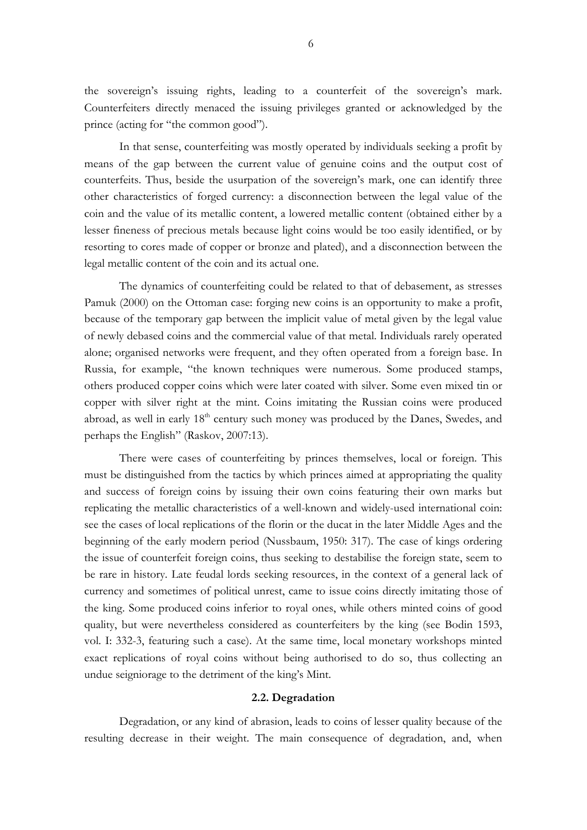the sovereign's issuing rights, leading to a counterfeit of the sovereign's mark. Counterfeiters directly menaced the issuing privileges granted or acknowledged by the prince (acting for "the common good").

In that sense, counterfeiting was mostly operated by individuals seeking a profit by means of the gap between the current value of genuine coins and the output cost of counterfeits. Thus, beside the usurpation of the sovereign's mark, one can identify three other characteristics of forged currency: a disconnection between the legal value of the coin and the value of its metallic content, a lowered metallic content (obtained either by a lesser fineness of precious metals because light coins would be too easily identified, or by resorting to cores made of copper or bronze and plated), and a disconnection between the legal metallic content of the coin and its actual one.

The dynamics of counterfeiting could be related to that of debasement, as stresses Pamuk (2000) on the Ottoman case: forging new coins is an opportunity to make a profit, because of the temporary gap between the implicit value of metal given by the legal value of newly debased coins and the commercial value of that metal. Individuals rarely operated alone; organised networks were frequent, and they often operated from a foreign base. In Russia, for example, "the known techniques were numerous. Some produced stamps, others produced copper coins which were later coated with silver. Some even mixed tin or copper with silver right at the mint. Coins imitating the Russian coins were produced abroad, as well in early 18<sup>th</sup> century such money was produced by the Danes, Swedes, and perhaps the English" (Raskov, 2007:13).

There were cases of counterfeiting by princes themselves, local or foreign. This must be distinguished from the tactics by which princes aimed at appropriating the quality and success of foreign coins by issuing their own coins featuring their own marks but replicating the metallic characteristics of a well-known and widely-used international coin: see the cases of local replications of the florin or the ducat in the later Middle Ages and the beginning of the early modern period (Nussbaum, 1950: 317). The case of kings ordering the issue of counterfeit foreign coins, thus seeking to destabilise the foreign state, seem to be rare in history. Late feudal lords seeking resources, in the context of a general lack of currency and sometimes of political unrest, came to issue coins directly imitating those of the king. Some produced coins inferior to royal ones, while others minted coins of good quality, but were nevertheless considered as counterfeiters by the king (see Bodin 1593, vol. I: 332-3, featuring such a case). At the same time, local monetary workshops minted exact replications of royal coins without being authorised to do so, thus collecting an undue seigniorage to the detriment of the king's Mint.

#### **2.2. Degradation**

Degradation, or any kind of abrasion, leads to coins of lesser quality because of the resulting decrease in their weight. The main consequence of degradation, and, when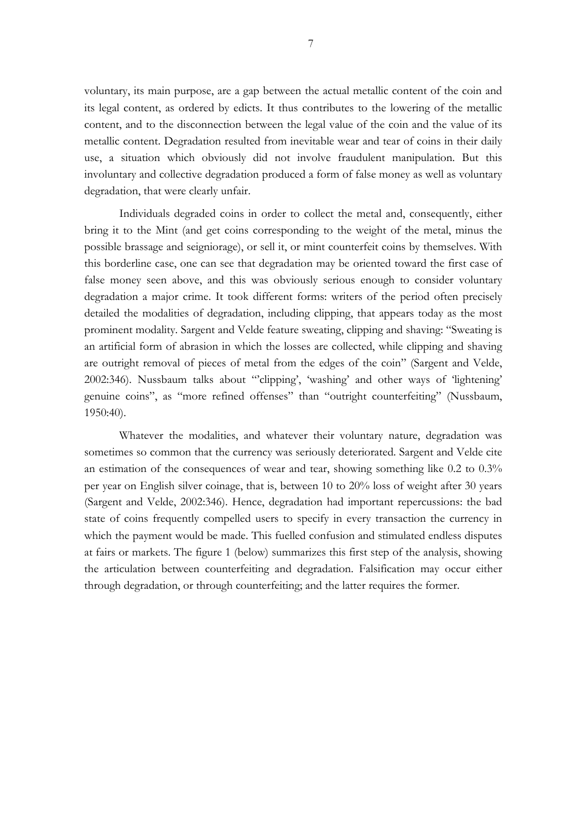voluntary, its main purpose, are a gap between the actual metallic content of the coin and its legal content, as ordered by edicts. It thus contributes to the lowering of the metallic content, and to the disconnection between the legal value of the coin and the value of its metallic content. Degradation resulted from inevitable wear and tear of coins in their daily use, a situation which obviously did not involve fraudulent manipulation. But this involuntary and collective degradation produced a form of false money as well as voluntary degradation, that were clearly unfair.

Individuals degraded coins in order to collect the metal and, consequently, either bring it to the Mint (and get coins corresponding to the weight of the metal, minus the possible brassage and seigniorage), or sell it, or mint counterfeit coins by themselves. With this borderline case, one can see that degradation may be oriented toward the first case of false money seen above, and this was obviously serious enough to consider voluntary degradation a major crime. It took different forms: writers of the period often precisely detailed the modalities of degradation, including clipping, that appears today as the most prominent modality. Sargent and Velde feature sweating, clipping and shaving: "Sweating is an artificial form of abrasion in which the losses are collected, while clipping and shaving are outright removal of pieces of metal from the edges of the coin" (Sargent and Velde, 2002:346). Nussbaum talks about "'clipping', 'washing' and other ways of 'lightening' genuine coins", as "more refined offenses" than "outright counterfeiting" (Nussbaum, 1950:40).

Whatever the modalities, and whatever their voluntary nature, degradation was sometimes so common that the currency was seriously deteriorated. Sargent and Velde cite an estimation of the consequences of wear and tear, showing something like 0.2 to 0.3% per year on English silver coinage, that is, between 10 to 20% loss of weight after 30 years (Sargent and Velde, 2002:346). Hence, degradation had important repercussions: the bad state of coins frequently compelled users to specify in every transaction the currency in which the payment would be made. This fuelled confusion and stimulated endless disputes at fairs or markets. The figure 1 (below) summarizes this first step of the analysis, showing the articulation between counterfeiting and degradation. Falsification may occur either through degradation, or through counterfeiting; and the latter requires the former.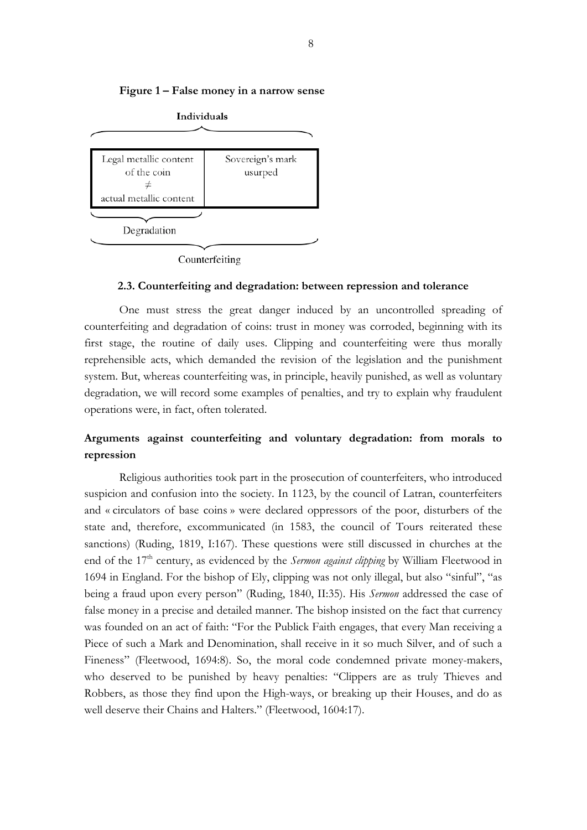#### **Figure 1 – False money in a narrow sense**



#### **2.3. Counterfeiting and degradation: between repression and tolerance**

One must stress the great danger induced by an uncontrolled spreading of counterfeiting and degradation of coins: trust in money was corroded, beginning with its first stage, the routine of daily uses. Clipping and counterfeiting were thus morally reprehensible acts, which demanded the revision of the legislation and the punishment system. But, whereas counterfeiting was, in principle, heavily punished, as well as voluntary degradation, we will record some examples of penalties, and try to explain why fraudulent operations were, in fact, often tolerated.

## **Arguments against counterfeiting and voluntary degradation: from morals to repression**

Religious authorities took part in the prosecution of counterfeiters, who introduced suspicion and confusion into the society. In 1123, by the council of Latran, counterfeiters and « circulators of base coins » were declared oppressors of the poor, disturbers of the state and, therefore, excommunicated (in 1583, the council of Tours reiterated these sanctions) (Ruding, 1819, I:167). These questions were still discussed in churches at the end of the 17<sup>th</sup> century, as evidenced by the *Sermon against clipping* by William Fleetwood in 1694 in England. For the bishop of Ely, clipping was not only illegal, but also "sinful", "as being a fraud upon every person" (Ruding, 1840, II:35). His *Sermon* addressed the case of false money in a precise and detailed manner. The bishop insisted on the fact that currency was founded on an act of faith: "For the Publick Faith engages, that every Man receiving a Piece of such a Mark and Denomination, shall receive in it so much Silver, and of such a Fineness" (Fleetwood, 1694:8). So, the moral code condemned private money-makers, who deserved to be punished by heavy penalties: "Clippers are as truly Thieves and Robbers, as those they find upon the High-ways, or breaking up their Houses, and do as well deserve their Chains and Halters." (Fleetwood, 1604:17).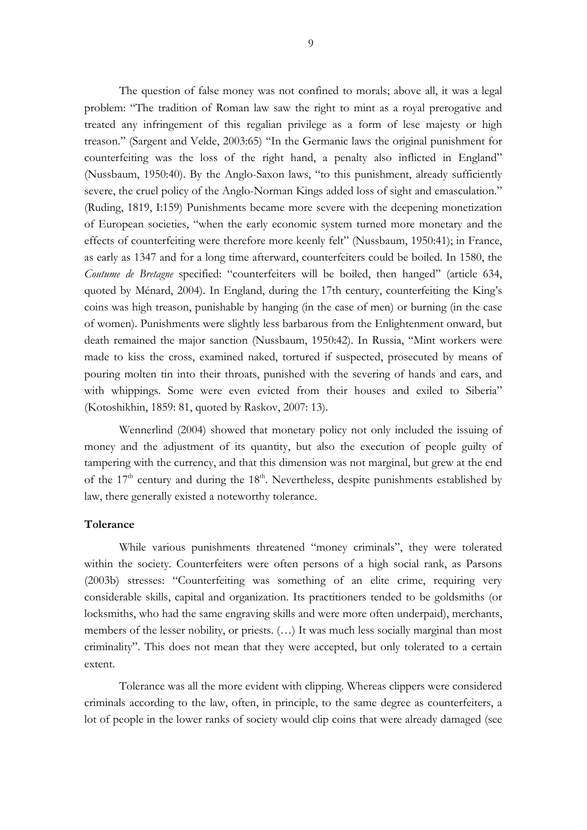The question of false money was not confined to morals; above all, it was a legal problem: "The tradition of Roman law saw the right to mint as a royal prerogative and treated any infringement of this regalian privilege as a form of lese majesty or high treason." (Sargent and Velde, 2003:65) "In the Germanic laws the original punishment for counterfeiting was the loss of the right hand, a penalty also inflicted in England" (Nussbaum, 1950:40). By the Anglo-Saxon laws, "to this punishment, already sufficiently severe, the cruel policy of the Anglo-Norman Kings added loss of sight and emasculation." (Ruding, 1819, I:159) Punishments became more severe with the deepening monetization of European societies, "when the early economic system turned more monetary and the effects of counterfeiting were therefore more keenly felt" (Nussbaum, 1950:41); in France, as early as 1347 and for a long time afterward, counterfeiters could be boiled. In 1580, the *Coutume de Bretagne* specified: "counterfeiters will be boiled, then hanged" (article 634, quoted by Ménard, 2004). In England, during the 17th century, counterfeiting the King's coins was high treason, punishable by hanging (in the case of men) or burning (in the case of women). Punishments were slightly less barbarous from the Enlightenment onward, but death remained the major sanction (Nussbaum, 1950:42). In Russia, "Mint workers were made to kiss the cross, examined naked, tortured if suspected, prosecuted by means of pouring molten tin into their throats, punished with the severing of hands and ears, and with whippings. Some were even evicted from their houses and exiled to Siberia" (Kotoshikhin, 1859: 81, quoted by Raskov, 2007: 13).

Wennerlind (2004) showed that monetary policy not only included the issuing of money and the adjustment of its quantity, but also the execution of people guilty of tampering with the currency, and that this dimension was not marginal, but grew at the end of the  $17<sup>th</sup>$  century and during the  $18<sup>th</sup>$ . Nevertheless, despite punishments established by law, there generally existed a noteworthy tolerance.

#### **Tolerance**

While various punishments threatened "money criminals", they were tolerated within the society. Counterfeiters were often persons of a high social rank, as Parsons (2003b) stresses: "Counterfeiting was something of an elite crime, requiring very considerable skills, capital and organization. Its practitioners tended to be goldsmiths (or locksmiths, who had the same engraving skills and were more often underpaid), merchants, members of the lesser nobility, or priests. (…) It was much less socially marginal than most criminality". This does not mean that they were accepted, but only tolerated to a certain extent.

Tolerance was all the more evident with clipping. Whereas clippers were considered criminals according to the law, often, in principle, to the same degree as counterfeiters, a lot of people in the lower ranks of society would clip coins that were already damaged (see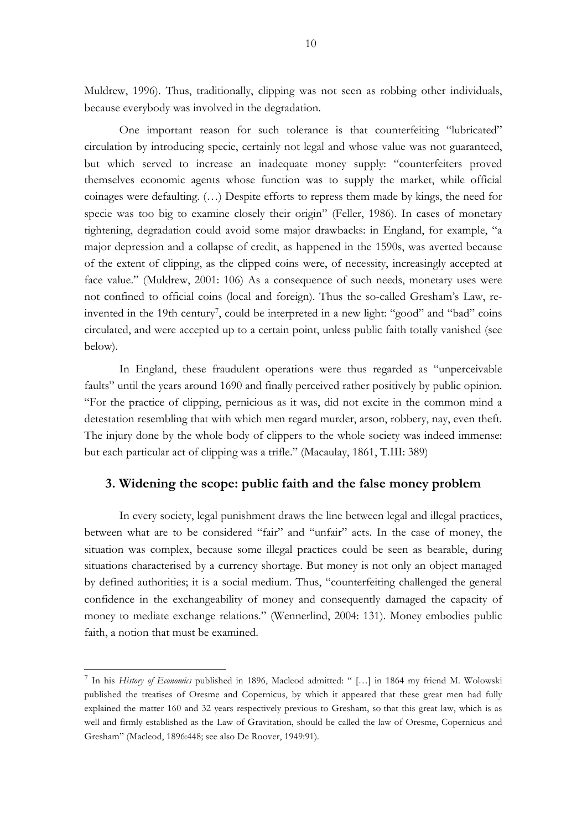Muldrew, 1996). Thus, traditionally, clipping was not seen as robbing other individuals, because everybody was involved in the degradation.

One important reason for such tolerance is that counterfeiting "lubricated" circulation by introducing specie, certainly not legal and whose value was not guaranteed, but which served to increase an inadequate money supply: "counterfeiters proved themselves economic agents whose function was to supply the market, while official coinages were defaulting. (…) Despite efforts to repress them made by kings, the need for specie was too big to examine closely their origin" (Feller, 1986). In cases of monetary tightening, degradation could avoid some major drawbacks: in England, for example, "a major depression and a collapse of credit, as happened in the 1590s, was averted because of the extent of clipping, as the clipped coins were, of necessity, increasingly accepted at face value." (Muldrew, 2001: 106) As a consequence of such needs, monetary uses were not confined to official coins (local and foreign). Thus the so-called Gresham's Law, reinvented in the 19th century<sup>7</sup>, could be interpreted in a new light: "good" and "bad" coins circulated, and were accepted up to a certain point, unless public faith totally vanished (see below).

In England, these fraudulent operations were thus regarded as "unperceivable faults" until the years around 1690 and finally perceived rather positively by public opinion. "For the practice of clipping, pernicious as it was, did not excite in the common mind a detestation resembling that with which men regard murder, arson, robbery, nay, even theft. The injury done by the whole body of clippers to the whole society was indeed immense: but each particular act of clipping was a trifle." (Macaulay, 1861, T.III: 389)

### **3. Widening the scope: public faith and the false money problem**

In every society, legal punishment draws the line between legal and illegal practices, between what are to be considered "fair" and "unfair" acts. In the case of money, the situation was complex, because some illegal practices could be seen as bearable, during situations characterised by a currency shortage. But money is not only an object managed by defined authorities; it is a social medium. Thus, "counterfeiting challenged the general confidence in the exchangeability of money and consequently damaged the capacity of money to mediate exchange relations." (Wennerlind, 2004: 131). Money embodies public faith, a notion that must be examined.

-

<sup>7</sup> In his *History of Economics* published in 1896, Macleod admitted: " […] in 1864 my friend M. Wolowski published the treatises of Oresme and Copernicus, by which it appeared that these great men had fully explained the matter 160 and 32 years respectively previous to Gresham, so that this great law, which is as well and firmly established as the Law of Gravitation, should be called the law of Oresme, Copernicus and Gresham" (Macleod, 1896:448; see also De Roover, 1949:91).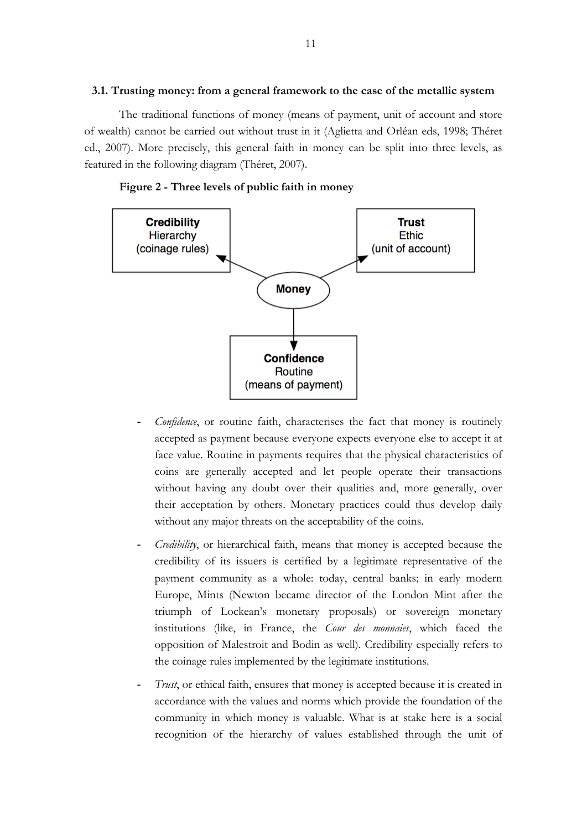### **3.1. Trusting money: from a general framework to the case of the metallic system**

The traditional functions of money (means of payment, unit of account and store of wealth) cannot be carried out without trust in it (Aglietta and Orléan eds, 1998; Théret ed., 2007). More precisely, this general faith in money can be split into three levels, as featured in the following diagram (Théret, 2007).





- *Confidence*, or routine faith, characterises the fact that money is routinely accepted as payment because everyone expects everyone else to accept it at face value. Routine in payments requires that the physical characteristics of coins are generally accepted and let people operate their transactions without having any doubt over their qualities and, more generally, over their acceptation by others. Monetary practices could thus develop daily without any major threats on the acceptability of the coins.
- *Credibility*, or hierarchical faith, means that money is accepted because the credibility of its issuers is certified by a legitimate representative of the payment community as a whole: today, central banks; in early modern Europe, Mints (Newton became director of the London Mint after the triumph of Lockean's monetary proposals) or sovereign monetary institutions (like, in France, the *Cour des monnaies*, which faced the opposition of Malestroit and Bodin as well). Credibility especially refers to the coinage rules implemented by the legitimate institutions.
- *Trust*, or ethical faith, ensures that money is accepted because it is created in accordance with the values and norms which provide the foundation of the community in which money is valuable. What is at stake here is a social recognition of the hierarchy of values established through the unit of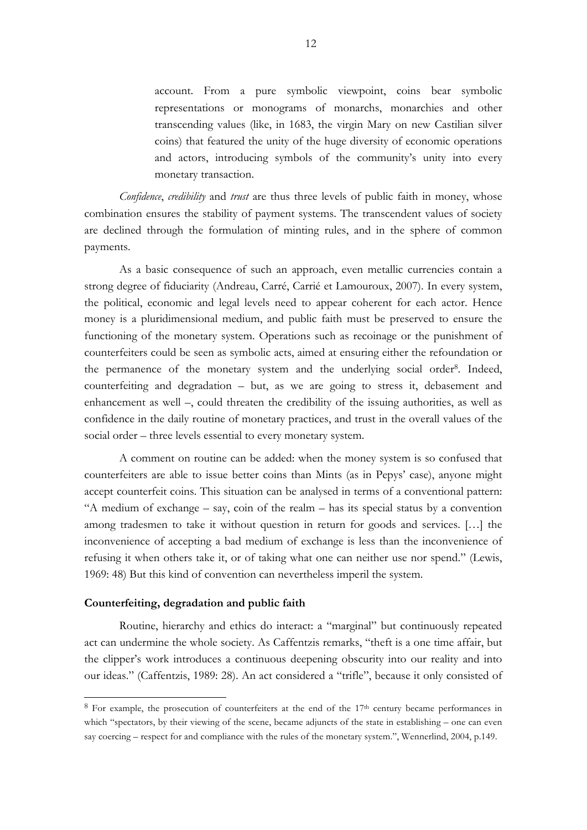account. From a pure symbolic viewpoint, coins bear symbolic representations or monograms of monarchs, monarchies and other transcending values (like, in 1683, the virgin Mary on new Castilian silver coins) that featured the unity of the huge diversity of economic operations and actors, introducing symbols of the community's unity into every monetary transaction.

*Confidence*, *credibility* and *trust* are thus three levels of public faith in money, whose combination ensures the stability of payment systems. The transcendent values of society are declined through the formulation of minting rules, and in the sphere of common payments.

As a basic consequence of such an approach, even metallic currencies contain a strong degree of fiduciarity (Andreau, Carré, Carrié et Lamouroux, 2007). In every system, the political, economic and legal levels need to appear coherent for each actor. Hence money is a pluridimensional medium, and public faith must be preserved to ensure the functioning of the monetary system. Operations such as recoinage or the punishment of counterfeiters could be seen as symbolic acts, aimed at ensuring either the refoundation or the permanence of the monetary system and the underlying social order<sup>8</sup>. Indeed, counterfeiting and degradation – but, as we are going to stress it, debasement and enhancement as well –, could threaten the credibility of the issuing authorities, as well as confidence in the daily routine of monetary practices, and trust in the overall values of the social order – three levels essential to every monetary system.

A comment on routine can be added: when the money system is so confused that counterfeiters are able to issue better coins than Mints (as in Pepys' case), anyone might accept counterfeit coins. This situation can be analysed in terms of a conventional pattern: "A medium of exchange – say, coin of the realm – has its special status by a convention among tradesmen to take it without question in return for goods and services. […] the inconvenience of accepting a bad medium of exchange is less than the inconvenience of refusing it when others take it, or of taking what one can neither use nor spend." (Lewis, 1969: 48) But this kind of convention can nevertheless imperil the system.

#### **Counterfeiting, degradation and public faith**

1

Routine, hierarchy and ethics do interact: a "marginal" but continuously repeated act can undermine the whole society. As Caffentzis remarks, "theft is a one time affair, but the clipper's work introduces a continuous deepening obscurity into our reality and into our ideas." (Caffentzis, 1989: 28). An act considered a "trifle", because it only consisted of

<sup>&</sup>lt;sup>8</sup> For example, the prosecution of counterfeiters at the end of the 17<sup>th</sup> century became performances in which "spectators, by their viewing of the scene, became adjuncts of the state in establishing – one can even say coercing – respect for and compliance with the rules of the monetary system.", Wennerlind, 2004, p.149.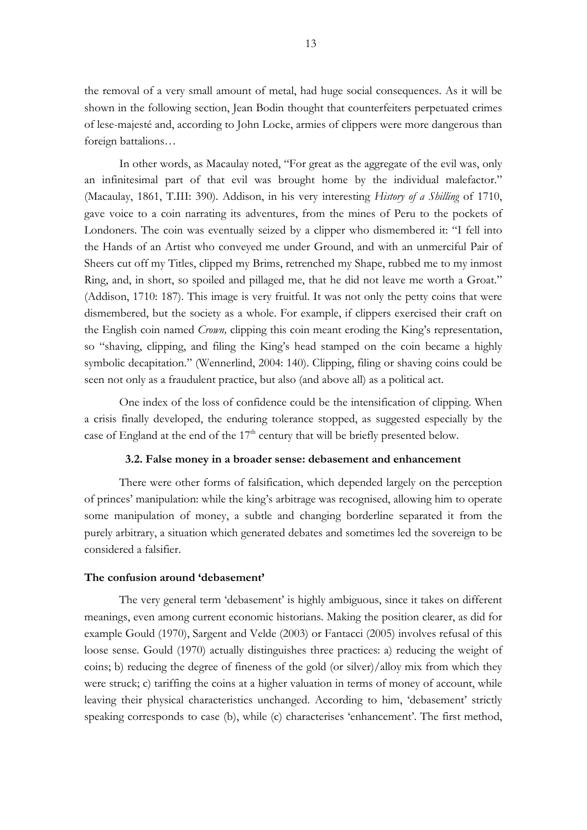the removal of a very small amount of metal, had huge social consequences. As it will be shown in the following section, Jean Bodin thought that counterfeiters perpetuated crimes of lese-majesté and, according to John Locke, armies of clippers were more dangerous than foreign battalions…

In other words, as Macaulay noted, "For great as the aggregate of the evil was, only an infinitesimal part of that evil was brought home by the individual malefactor." (Macaulay, 1861, T.III: 390). Addison, in his very interesting *History of a Shilling* of 1710, gave voice to a coin narrating its adventures, from the mines of Peru to the pockets of Londoners. The coin was eventually seized by a clipper who dismembered it: "I fell into the Hands of an Artist who conveyed me under Ground, and with an unmerciful Pair of Sheers cut off my Titles, clipped my Brims, retrenched my Shape, rubbed me to my inmost Ring, and, in short, so spoiled and pillaged me, that he did not leave me worth a Groat." (Addison, 1710: 187). This image is very fruitful. It was not only the petty coins that were dismembered, but the society as a whole. For example, if clippers exercised their craft on the English coin named *Crown,* clipping this coin meant eroding the King's representation, so "shaving, clipping, and filing the King's head stamped on the coin became a highly symbolic decapitation." (Wennerlind, 2004: 140). Clipping, filing or shaving coins could be seen not only as a fraudulent practice, but also (and above all) as a political act.

One index of the loss of confidence could be the intensification of clipping. When a crisis finally developed, the enduring tolerance stopped, as suggested especially by the case of England at the end of the  $17<sup>th</sup>$  century that will be briefly presented below.

#### **3.2. False money in a broader sense: debasement and enhancement**

There were other forms of falsification, which depended largely on the perception of princes' manipulation: while the king's arbitrage was recognised, allowing him to operate some manipulation of money, a subtle and changing borderline separated it from the purely arbitrary, a situation which generated debates and sometimes led the sovereign to be considered a falsifier.

#### **The confusion around 'debasement'**

The very general term 'debasement' is highly ambiguous, since it takes on different meanings, even among current economic historians. Making the position clearer, as did for example Gould (1970), Sargent and Velde (2003) or Fantacci (2005) involves refusal of this loose sense. Gould (1970) actually distinguishes three practices: a) reducing the weight of coins; b) reducing the degree of fineness of the gold (or silver)/alloy mix from which they were struck; c) tariffing the coins at a higher valuation in terms of money of account, while leaving their physical characteristics unchanged. According to him, 'debasement' strictly speaking corresponds to case (b), while (c) characterises 'enhancement'. The first method,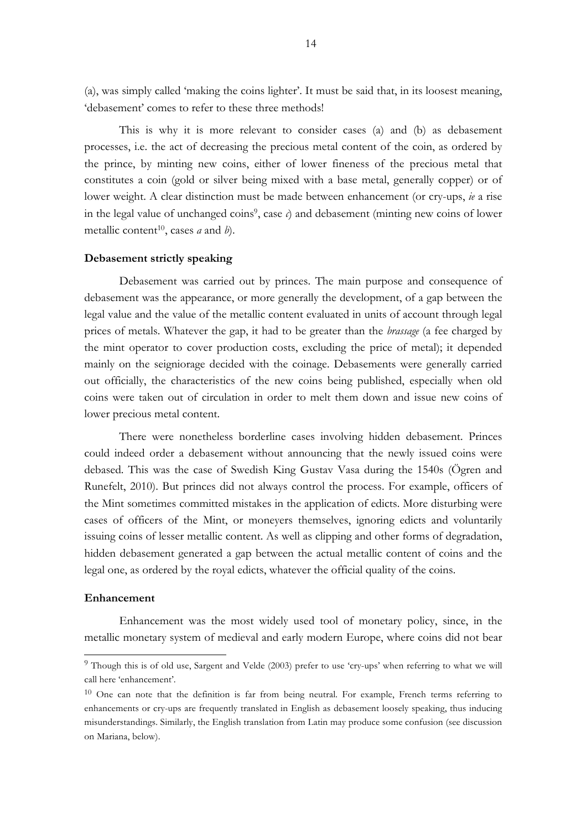(a), was simply called 'making the coins lighter'. It must be said that, in its loosest meaning, 'debasement' comes to refer to these three methods!

This is why it is more relevant to consider cases (a) and (b) as debasement processes, i.e. the act of decreasing the precious metal content of the coin, as ordered by the prince, by minting new coins, either of lower fineness of the precious metal that constitutes a coin (gold or silver being mixed with a base metal, generally copper) or of lower weight. A clear distinction must be made between enhancement (or cry-ups, *ie* a rise in the legal value of unchanged coins<sup>9</sup>, case  $c$ ) and debasement (minting new coins of lower metallic content<sup>10</sup>, cases *a* and *b*).

#### **Debasement strictly speaking**

Debasement was carried out by princes. The main purpose and consequence of debasement was the appearance, or more generally the development, of a gap between the legal value and the value of the metallic content evaluated in units of account through legal prices of metals. Whatever the gap, it had to be greater than the *brassage* (a fee charged by the mint operator to cover production costs, excluding the price of metal); it depended mainly on the seigniorage decided with the coinage. Debasements were generally carried out officially, the characteristics of the new coins being published, especially when old coins were taken out of circulation in order to melt them down and issue new coins of lower precious metal content.

There were nonetheless borderline cases involving hidden debasement. Princes could indeed order a debasement without announcing that the newly issued coins were debased. This was the case of Swedish King Gustav Vasa during the 1540s (Ögren and Runefelt, 2010). But princes did not always control the process. For example, officers of the Mint sometimes committed mistakes in the application of edicts. More disturbing were cases of officers of the Mint, or moneyers themselves, ignoring edicts and voluntarily issuing coins of lesser metallic content. As well as clipping and other forms of degradation, hidden debasement generated a gap between the actual metallic content of coins and the legal one, as ordered by the royal edicts, whatever the official quality of the coins.

#### **Enhancement**

1

Enhancement was the most widely used tool of monetary policy, since, in the metallic monetary system of medieval and early modern Europe, where coins did not bear

<sup>&</sup>lt;sup>9</sup> Though this is of old use, Sargent and Velde (2003) prefer to use 'cry-ups' when referring to what we will call here 'enhancement'.

 $10$  One can note that the definition is far from being neutral. For example, French terms referring to enhancements or cry-ups are frequently translated in English as debasement loosely speaking, thus inducing misunderstandings. Similarly, the English translation from Latin may produce some confusion (see discussion on Mariana, below).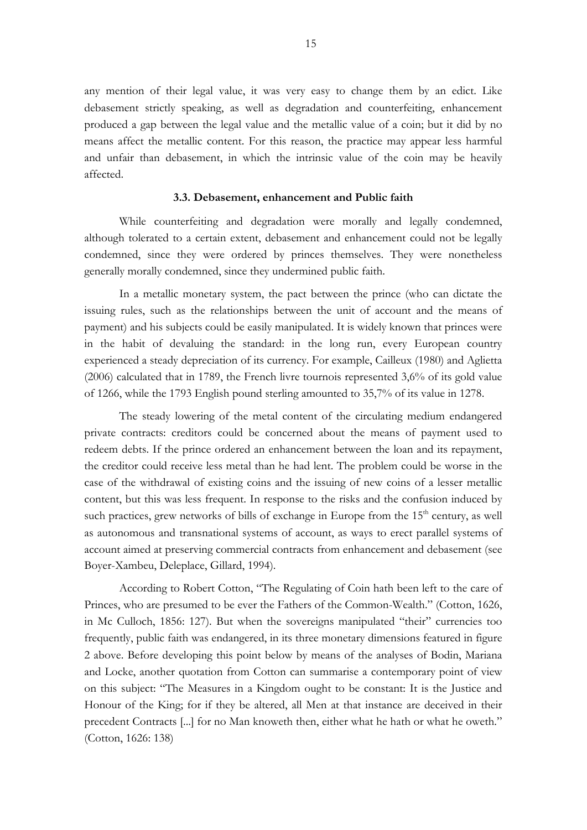any mention of their legal value, it was very easy to change them by an edict. Like debasement strictly speaking, as well as degradation and counterfeiting, enhancement produced a gap between the legal value and the metallic value of a coin; but it did by no means affect the metallic content. For this reason, the practice may appear less harmful and unfair than debasement, in which the intrinsic value of the coin may be heavily affected.

#### **3.3. Debasement, enhancement and Public faith**

While counterfeiting and degradation were morally and legally condemned, although tolerated to a certain extent, debasement and enhancement could not be legally condemned, since they were ordered by princes themselves. They were nonetheless generally morally condemned, since they undermined public faith.

In a metallic monetary system, the pact between the prince (who can dictate the issuing rules, such as the relationships between the unit of account and the means of payment) and his subjects could be easily manipulated. It is widely known that princes were in the habit of devaluing the standard: in the long run, every European country experienced a steady depreciation of its currency. For example, Cailleux (1980) and Aglietta (2006) calculated that in 1789, the French livre tournois represented 3,6% of its gold value of 1266, while the 1793 English pound sterling amounted to 35,7% of its value in 1278.

The steady lowering of the metal content of the circulating medium endangered private contracts: creditors could be concerned about the means of payment used to redeem debts. If the prince ordered an enhancement between the loan and its repayment, the creditor could receive less metal than he had lent. The problem could be worse in the case of the withdrawal of existing coins and the issuing of new coins of a lesser metallic content, but this was less frequent. In response to the risks and the confusion induced by such practices, grew networks of bills of exchange in Europe from the  $15<sup>th</sup>$  century, as well as autonomous and transnational systems of account, as ways to erect parallel systems of account aimed at preserving commercial contracts from enhancement and debasement (see Boyer-Xambeu, Deleplace, Gillard, 1994).

According to Robert Cotton, "The Regulating of Coin hath been left to the care of Princes, who are presumed to be ever the Fathers of the Common-Wealth." (Cotton, 1626, in Mc Culloch, 1856: 127). But when the sovereigns manipulated "their" currencies too frequently, public faith was endangered, in its three monetary dimensions featured in figure 2 above. Before developing this point below by means of the analyses of Bodin, Mariana and Locke, another quotation from Cotton can summarise a contemporary point of view on this subject: "The Measures in a Kingdom ought to be constant: It is the Justice and Honour of the King; for if they be altered, all Men at that instance are deceived in their precedent Contracts [...] for no Man knoweth then, either what he hath or what he oweth." (Cotton, 1626: 138)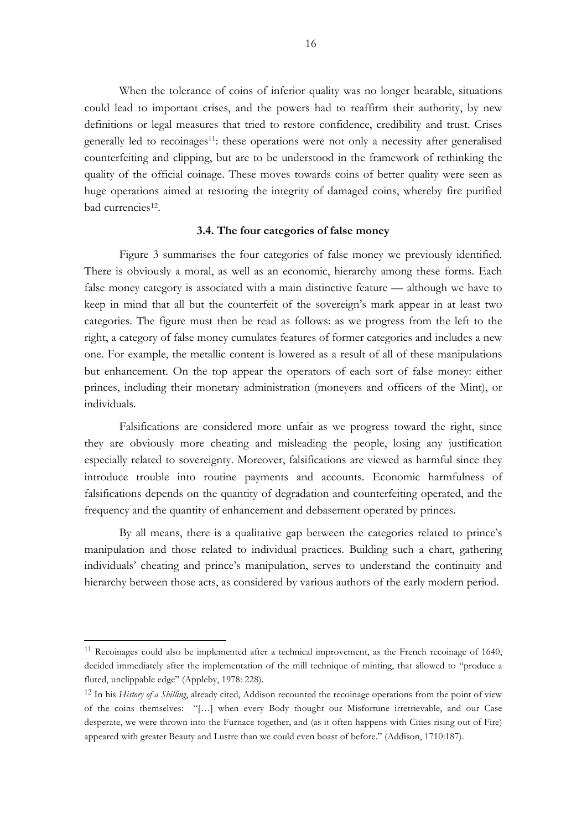When the tolerance of coins of inferior quality was no longer bearable, situations could lead to important crises, and the powers had to reaffirm their authority, by new definitions or legal measures that tried to restore confidence, credibility and trust. Crises generally led to recoinages<sup>11</sup>: these operations were not only a necessity after generalised counterfeiting and clipping, but are to be understood in the framework of rethinking the quality of the official coinage. These moves towards coins of better quality were seen as huge operations aimed at restoring the integrity of damaged coins, whereby fire purified bad currencies<sup>12</sup>.

#### **3.4. The four categories of false money**

Figure 3 summarises the four categories of false money we previously identified. There is obviously a moral, as well as an economic, hierarchy among these forms. Each false money category is associated with a main distinctive feature — although we have to keep in mind that all but the counterfeit of the sovereign's mark appear in at least two categories. The figure must then be read as follows: as we progress from the left to the right, a category of false money cumulates features of former categories and includes a new one. For example, the metallic content is lowered as a result of all of these manipulations but enhancement. On the top appear the operators of each sort of false money: either princes, including their monetary administration (moneyers and officers of the Mint), or individuals.

Falsifications are considered more unfair as we progress toward the right, since they are obviously more cheating and misleading the people, losing any justification especially related to sovereignty. Moreover, falsifications are viewed as harmful since they introduce trouble into routine payments and accounts. Economic harmfulness of falsifications depends on the quantity of degradation and counterfeiting operated, and the frequency and the quantity of enhancement and debasement operated by princes.

By all means, there is a qualitative gap between the categories related to prince's manipulation and those related to individual practices. Building such a chart, gathering individuals' cheating and prince's manipulation, serves to understand the continuity and hierarchy between those acts, as considered by various authors of the early modern period.

-

<sup>11</sup> Recoinages could also be implemented after a technical improvement, as the French recoinage of 1640, decided immediately after the implementation of the mill technique of minting, that allowed to "produce a fluted, unclippable edge" (Appleby, 1978: 228).

<sup>12</sup> In his *History of a Shilling*, already cited, Addison recounted the recoinage operations from the point of view of the coins themselves: "[…] when every Body thought our Misfortune irretrievable, and our Case desperate, we were thrown into the Furnace together, and (as it often happens with Cities rising out of Fire) appeared with greater Beauty and Lustre than we could even boast of before." (Addison, 1710:187).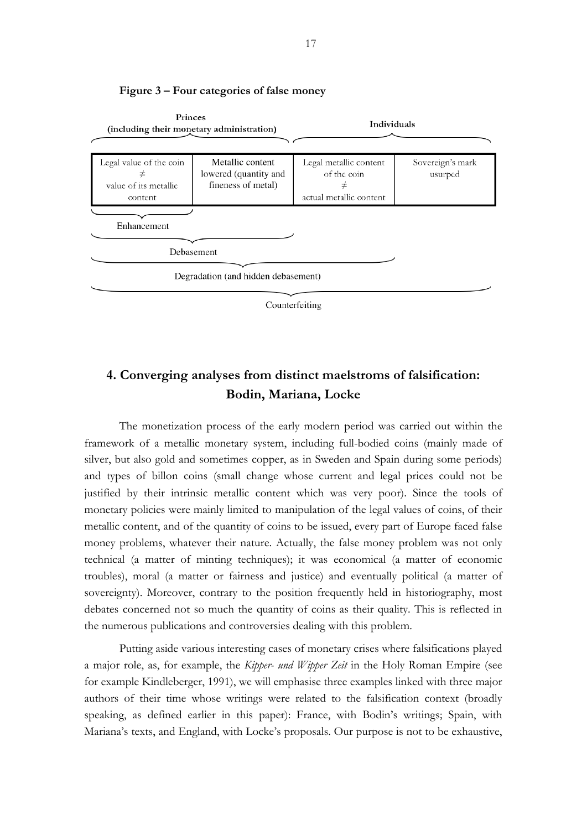

#### **Figure 3 – Four categories of false money**

**4. Converging analyses from distinct maelstroms of falsification: Bodin, Mariana, Locke** 

The monetization process of the early modern period was carried out within the framework of a metallic monetary system, including full-bodied coins (mainly made of silver, but also gold and sometimes copper, as in Sweden and Spain during some periods) and types of billon coins (small change whose current and legal prices could not be justified by their intrinsic metallic content which was very poor). Since the tools of monetary policies were mainly limited to manipulation of the legal values of coins, of their metallic content, and of the quantity of coins to be issued, every part of Europe faced false money problems, whatever their nature. Actually, the false money problem was not only technical (a matter of minting techniques); it was economical (a matter of economic troubles), moral (a matter or fairness and justice) and eventually political (a matter of sovereignty). Moreover, contrary to the position frequently held in historiography, most debates concerned not so much the quantity of coins as their quality. This is reflected in the numerous publications and controversies dealing with this problem.

Putting aside various interesting cases of monetary crises where falsifications played a major role, as, for example, the *Kipper- und Wipper Zeit* in the Holy Roman Empire (see for example Kindleberger, 1991), we will emphasise three examples linked with three major authors of their time whose writings were related to the falsification context (broadly speaking, as defined earlier in this paper): France, with Bodin's writings; Spain, with Mariana's texts, and England, with Locke's proposals. Our purpose is not to be exhaustive,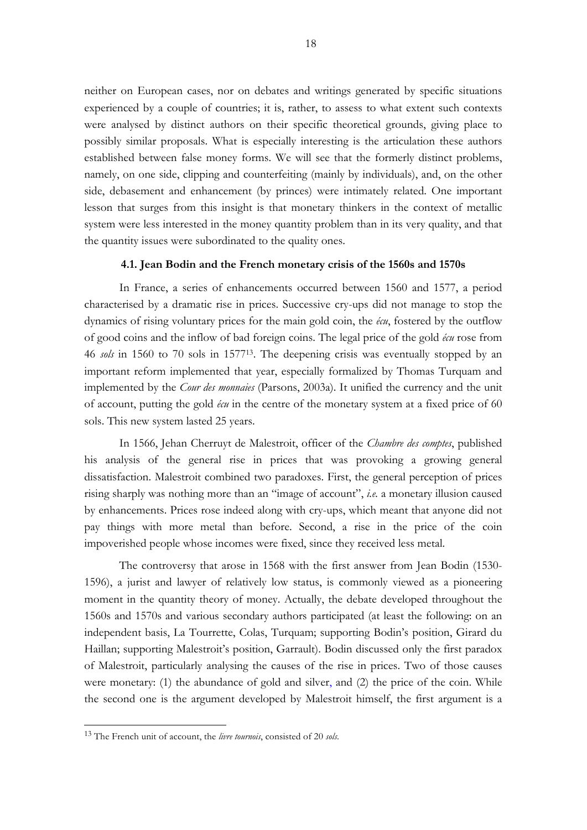neither on European cases, nor on debates and writings generated by specific situations experienced by a couple of countries; it is, rather, to assess to what extent such contexts were analysed by distinct authors on their specific theoretical grounds, giving place to possibly similar proposals. What is especially interesting is the articulation these authors established between false money forms. We will see that the formerly distinct problems, namely, on one side, clipping and counterfeiting (mainly by individuals), and, on the other side, debasement and enhancement (by princes) were intimately related. One important lesson that surges from this insight is that monetary thinkers in the context of metallic system were less interested in the money quantity problem than in its very quality, and that the quantity issues were subordinated to the quality ones.

#### **4.1. Jean Bodin and the French monetary crisis of the 1560s and 1570s**

In France, a series of enhancements occurred between 1560 and 1577, a period characterised by a dramatic rise in prices. Successive cry-ups did not manage to stop the dynamics of rising voluntary prices for the main gold coin, the *écu*, fostered by the outflow of good coins and the inflow of bad foreign coins. The legal price of the gold *écu* rose from 46 *sols* in 1560 to 70 sols in 157713. The deepening crisis was eventually stopped by an important reform implemented that year, especially formalized by Thomas Turquam and implemented by the *Cour des monnaies* (Parsons, 2003a). It unified the currency and the unit of account, putting the gold *écu* in the centre of the monetary system at a fixed price of 60 sols. This new system lasted 25 years.

In 1566, Jehan Cherruyt de Malestroit, officer of the *Chambre des comptes*, published his analysis of the general rise in prices that was provoking a growing general dissatisfaction. Malestroit combined two paradoxes. First, the general perception of prices rising sharply was nothing more than an "image of account", *i.e.* a monetary illusion caused by enhancements. Prices rose indeed along with cry-ups, which meant that anyone did not pay things with more metal than before. Second, a rise in the price of the coin impoverished people whose incomes were fixed, since they received less metal.

The controversy that arose in 1568 with the first answer from Jean Bodin (1530- 1596), a jurist and lawyer of relatively low status, is commonly viewed as a pioneering moment in the quantity theory of money. Actually, the debate developed throughout the 1560s and 1570s and various secondary authors participated (at least the following: on an independent basis, La Tourrette, Colas, Turquam; supporting Bodin's position, Girard du Haillan; supporting Malestroit's position, Garrault). Bodin discussed only the first paradox of Malestroit, particularly analysing the causes of the rise in prices. Two of those causes were monetary: (1) the abundance of gold and silver, and (2) the price of the coin. While the second one is the argument developed by Malestroit himself, the first argument is a

<sup>13</sup> The French unit of account, the *livre tournois*, consisted of 20 *sols*.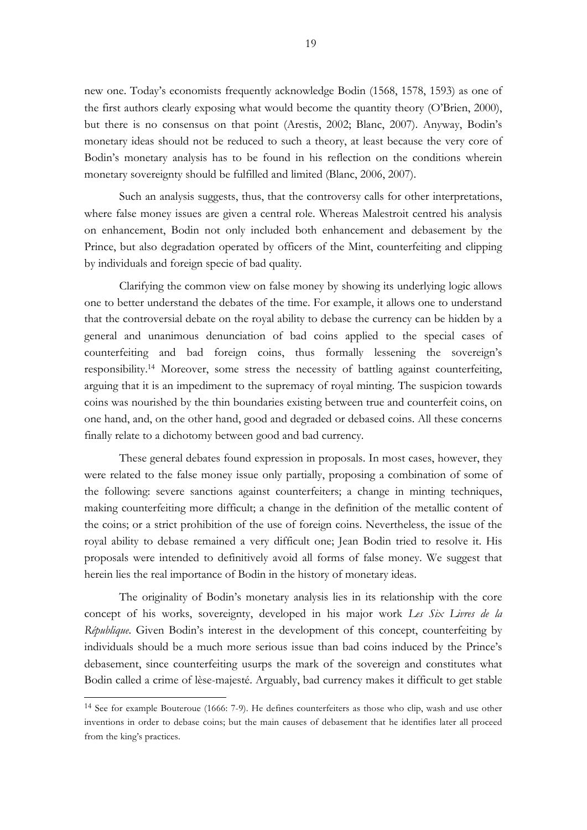new one. Today's economists frequently acknowledge Bodin (1568, 1578, 1593) as one of the first authors clearly exposing what would become the quantity theory (O'Brien, 2000), but there is no consensus on that point (Arestis, 2002; Blanc, 2007). Anyway, Bodin's monetary ideas should not be reduced to such a theory, at least because the very core of Bodin's monetary analysis has to be found in his reflection on the conditions wherein monetary sovereignty should be fulfilled and limited (Blanc, 2006, 2007).

Such an analysis suggests, thus, that the controversy calls for other interpretations, where false money issues are given a central role. Whereas Malestroit centred his analysis on enhancement, Bodin not only included both enhancement and debasement by the Prince, but also degradation operated by officers of the Mint, counterfeiting and clipping by individuals and foreign specie of bad quality.

Clarifying the common view on false money by showing its underlying logic allows one to better understand the debates of the time. For example, it allows one to understand that the controversial debate on the royal ability to debase the currency can be hidden by a general and unanimous denunciation of bad coins applied to the special cases of counterfeiting and bad foreign coins, thus formally lessening the sovereign's responsibility.14 Moreover, some stress the necessity of battling against counterfeiting, arguing that it is an impediment to the supremacy of royal minting. The suspicion towards coins was nourished by the thin boundaries existing between true and counterfeit coins, on one hand, and, on the other hand, good and degraded or debased coins. All these concerns finally relate to a dichotomy between good and bad currency.

These general debates found expression in proposals. In most cases, however, they were related to the false money issue only partially, proposing a combination of some of the following: severe sanctions against counterfeiters; a change in minting techniques, making counterfeiting more difficult; a change in the definition of the metallic content of the coins; or a strict prohibition of the use of foreign coins. Nevertheless, the issue of the royal ability to debase remained a very difficult one; Jean Bodin tried to resolve it. His proposals were intended to definitively avoid all forms of false money. We suggest that herein lies the real importance of Bodin in the history of monetary ideas.

The originality of Bodin's monetary analysis lies in its relationship with the core concept of his works, sovereignty, developed in his major work *Les Six Livres de la République*. Given Bodin's interest in the development of this concept, counterfeiting by individuals should be a much more serious issue than bad coins induced by the Prince's debasement, since counterfeiting usurps the mark of the sovereign and constitutes what Bodin called a crime of lèse-majesté. Arguably, bad currency makes it difficult to get stable

<sup>14</sup> See for example Bouteroue (1666: 7-9). He defines counterfeiters as those who clip, wash and use other inventions in order to debase coins; but the main causes of debasement that he identifies later all proceed from the king's practices.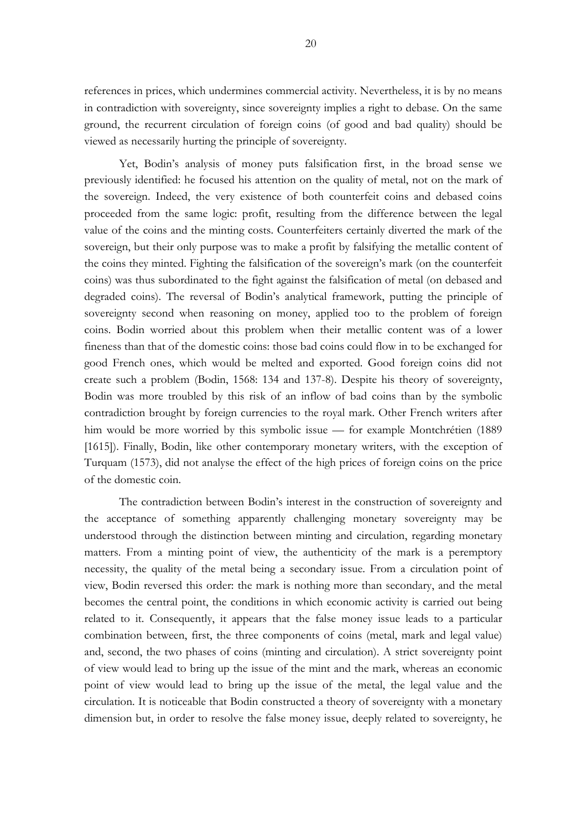references in prices, which undermines commercial activity. Nevertheless, it is by no means in contradiction with sovereignty, since sovereignty implies a right to debase. On the same ground, the recurrent circulation of foreign coins (of good and bad quality) should be viewed as necessarily hurting the principle of sovereignty.

Yet, Bodin's analysis of money puts falsification first, in the broad sense we previously identified: he focused his attention on the quality of metal, not on the mark of the sovereign. Indeed, the very existence of both counterfeit coins and debased coins proceeded from the same logic: profit, resulting from the difference between the legal value of the coins and the minting costs. Counterfeiters certainly diverted the mark of the sovereign, but their only purpose was to make a profit by falsifying the metallic content of the coins they minted. Fighting the falsification of the sovereign's mark (on the counterfeit coins) was thus subordinated to the fight against the falsification of metal (on debased and degraded coins). The reversal of Bodin's analytical framework, putting the principle of sovereignty second when reasoning on money, applied too to the problem of foreign coins. Bodin worried about this problem when their metallic content was of a lower fineness than that of the domestic coins: those bad coins could flow in to be exchanged for good French ones, which would be melted and exported. Good foreign coins did not create such a problem (Bodin, 1568: 134 and 137-8). Despite his theory of sovereignty, Bodin was more troubled by this risk of an inflow of bad coins than by the symbolic contradiction brought by foreign currencies to the royal mark. Other French writers after him would be more worried by this symbolic issue — for example Montchrétien (1889 [1615]). Finally, Bodin, like other contemporary monetary writers, with the exception of Turquam (1573), did not analyse the effect of the high prices of foreign coins on the price of the domestic coin.

The contradiction between Bodin's interest in the construction of sovereignty and the acceptance of something apparently challenging monetary sovereignty may be understood through the distinction between minting and circulation, regarding monetary matters. From a minting point of view, the authenticity of the mark is a peremptory necessity, the quality of the metal being a secondary issue. From a circulation point of view, Bodin reversed this order: the mark is nothing more than secondary, and the metal becomes the central point, the conditions in which economic activity is carried out being related to it. Consequently, it appears that the false money issue leads to a particular combination between, first, the three components of coins (metal, mark and legal value) and, second, the two phases of coins (minting and circulation). A strict sovereignty point of view would lead to bring up the issue of the mint and the mark, whereas an economic point of view would lead to bring up the issue of the metal, the legal value and the circulation. It is noticeable that Bodin constructed a theory of sovereignty with a monetary dimension but, in order to resolve the false money issue, deeply related to sovereignty, he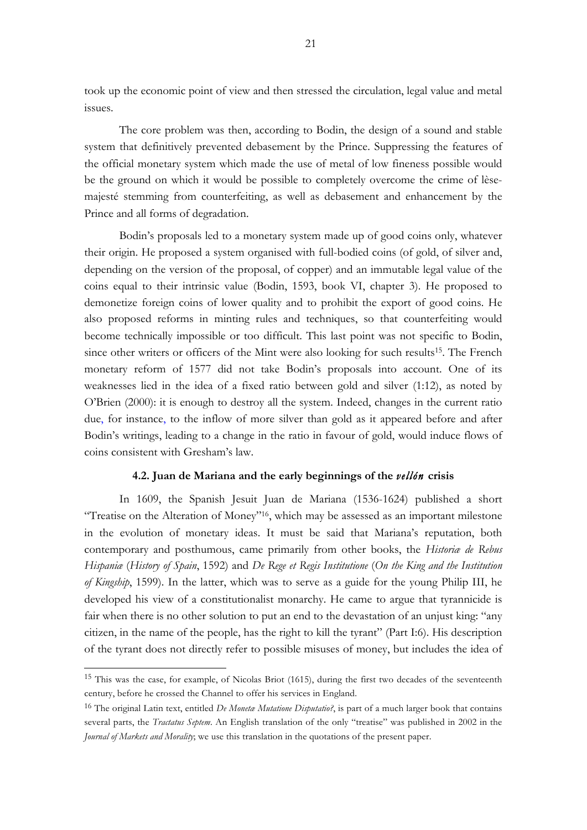took up the economic point of view and then stressed the circulation, legal value and metal issues.

The core problem was then, according to Bodin, the design of a sound and stable system that definitively prevented debasement by the Prince. Suppressing the features of the official monetary system which made the use of metal of low fineness possible would be the ground on which it would be possible to completely overcome the crime of lèsemajesté stemming from counterfeiting, as well as debasement and enhancement by the Prince and all forms of degradation.

Bodin's proposals led to a monetary system made up of good coins only, whatever their origin. He proposed a system organised with full-bodied coins (of gold, of silver and, depending on the version of the proposal, of copper) and an immutable legal value of the coins equal to their intrinsic value (Bodin, 1593, book VI, chapter 3). He proposed to demonetize foreign coins of lower quality and to prohibit the export of good coins. He also proposed reforms in minting rules and techniques, so that counterfeiting would become technically impossible or too difficult. This last point was not specific to Bodin, since other writers or officers of the Mint were also looking for such results<sup>15</sup>. The French monetary reform of 1577 did not take Bodin's proposals into account. One of its weaknesses lied in the idea of a fixed ratio between gold and silver (1:12), as noted by O'Brien (2000): it is enough to destroy all the system. Indeed, changes in the current ratio due, for instance, to the inflow of more silver than gold as it appeared before and after Bodin's writings, leading to a change in the ratio in favour of gold, would induce flows of coins consistent with Gresham's law.

#### **4.2. Juan de Mariana and the early beginnings of the** *vellón* **crisis**

In 1609, the Spanish Jesuit Juan de Mariana (1536-1624) published a short "Treatise on the Alteration of Money"16, which may be assessed as an important milestone in the evolution of monetary ideas. It must be said that Mariana's reputation, both contemporary and posthumous, came primarily from other books, the *Historiæ de Rebus Hispaniæ* (*History of Spain*, 1592) and *De Rege et Regis Institutione* (*On the King and the Institution of Kingship*, 1599). In the latter, which was to serve as a guide for the young Philip III, he developed his view of a constitutionalist monarchy. He came to argue that tyrannicide is fair when there is no other solution to put an end to the devastation of an unjust king: "any citizen, in the name of the people, has the right to kill the tyrant" (Part I:6). His description of the tyrant does not directly refer to possible misuses of money, but includes the idea of

<sup>&</sup>lt;sup>15</sup> This was the case, for example, of Nicolas Briot (1615), during the first two decades of the seventeenth century, before he crossed the Channel to offer his services in England.

<sup>16</sup> The original Latin text, entitled *De Monetæ Mutatione Disputatio?*, is part of a much larger book that contains several parts, the *Tractatus Septem*. An English translation of the only "treatise" was published in 2002 in the *Journal of Markets and Morality*; we use this translation in the quotations of the present paper.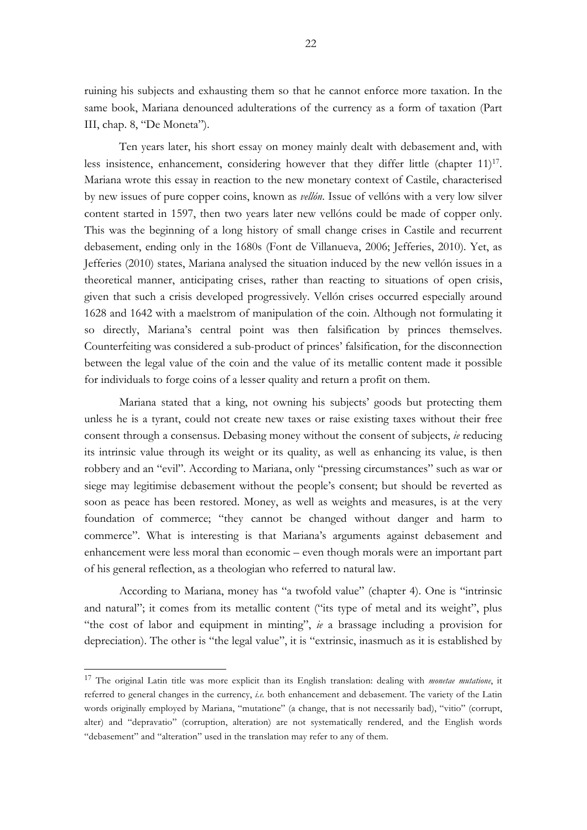ruining his subjects and exhausting them so that he cannot enforce more taxation. In the same book, Mariana denounced adulterations of the currency as a form of taxation (Part III, chap. 8, "De Moneta").

Ten years later, his short essay on money mainly dealt with debasement and, with less insistence, enhancement, considering however that they differ little (chapter 11)<sup>17</sup>. Mariana wrote this essay in reaction to the new monetary context of Castile, characterised by new issues of pure copper coins, known as *vellón*. Issue of vellóns with a very low silver content started in 1597, then two years later new vellóns could be made of copper only. This was the beginning of a long history of small change crises in Castile and recurrent debasement, ending only in the 1680s (Font de Villanueva, 2006; Jefferies, 2010). Yet, as Jefferies (2010) states, Mariana analysed the situation induced by the new vellón issues in a theoretical manner, anticipating crises, rather than reacting to situations of open crisis, given that such a crisis developed progressively. Vellón crises occurred especially around 1628 and 1642 with a maelstrom of manipulation of the coin. Although not formulating it so directly, Mariana's central point was then falsification by princes themselves. Counterfeiting was considered a sub-product of princes' falsification, for the disconnection between the legal value of the coin and the value of its metallic content made it possible for individuals to forge coins of a lesser quality and return a profit on them.

Mariana stated that a king, not owning his subjects' goods but protecting them unless he is a tyrant, could not create new taxes or raise existing taxes without their free consent through a consensus. Debasing money without the consent of subjects, *ie* reducing its intrinsic value through its weight or its quality, as well as enhancing its value, is then robbery and an "evil". According to Mariana, only "pressing circumstances" such as war or siege may legitimise debasement without the people's consent; but should be reverted as soon as peace has been restored. Money, as well as weights and measures, is at the very foundation of commerce; "they cannot be changed without danger and harm to commerce". What is interesting is that Mariana's arguments against debasement and enhancement were less moral than economic – even though morals were an important part of his general reflection, as a theologian who referred to natural law.

According to Mariana, money has "a twofold value" (chapter 4). One is "intrinsic and natural"; it comes from its metallic content ("its type of metal and its weight", plus "the cost of labor and equipment in minting", *ie* a brassage including a provision for depreciation). The other is "the legal value", it is "extrinsic, inasmuch as it is established by

-

<sup>17</sup> The original Latin title was more explicit than its English translation: dealing with *monetae mutatione*, it referred to general changes in the currency, *i.e.* both enhancement and debasement. The variety of the Latin words originally employed by Mariana, "mutatione" (a change, that is not necessarily bad), "vitio" (corrupt, alter) and "depravatio" (corruption, alteration) are not systematically rendered, and the English words "debasement" and "alteration" used in the translation may refer to any of them.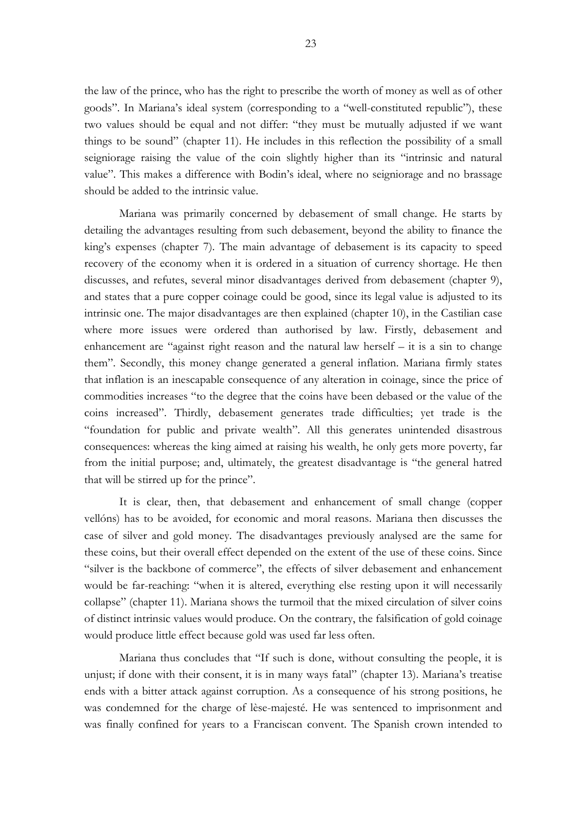the law of the prince, who has the right to prescribe the worth of money as well as of other goods". In Mariana's ideal system (corresponding to a "well-constituted republic"), these two values should be equal and not differ: "they must be mutually adjusted if we want things to be sound" (chapter 11). He includes in this reflection the possibility of a small seigniorage raising the value of the coin slightly higher than its "intrinsic and natural value". This makes a difference with Bodin's ideal, where no seigniorage and no brassage should be added to the intrinsic value.

Mariana was primarily concerned by debasement of small change. He starts by detailing the advantages resulting from such debasement, beyond the ability to finance the king's expenses (chapter 7). The main advantage of debasement is its capacity to speed recovery of the economy when it is ordered in a situation of currency shortage. He then discusses, and refutes, several minor disadvantages derived from debasement (chapter 9), and states that a pure copper coinage could be good, since its legal value is adjusted to its intrinsic one. The major disadvantages are then explained (chapter 10), in the Castilian case where more issues were ordered than authorised by law. Firstly, debasement and enhancement are "against right reason and the natural law herself – it is a sin to change them". Secondly, this money change generated a general inflation. Mariana firmly states that inflation is an inescapable consequence of any alteration in coinage, since the price of commodities increases "to the degree that the coins have been debased or the value of the coins increased". Thirdly, debasement generates trade difficulties; yet trade is the "foundation for public and private wealth". All this generates unintended disastrous consequences: whereas the king aimed at raising his wealth, he only gets more poverty, far from the initial purpose; and, ultimately, the greatest disadvantage is "the general hatred that will be stirred up for the prince".

It is clear, then, that debasement and enhancement of small change (copper vellóns) has to be avoided, for economic and moral reasons. Mariana then discusses the case of silver and gold money. The disadvantages previously analysed are the same for these coins, but their overall effect depended on the extent of the use of these coins. Since "silver is the backbone of commerce", the effects of silver debasement and enhancement would be far-reaching: "when it is altered, everything else resting upon it will necessarily collapse" (chapter 11). Mariana shows the turmoil that the mixed circulation of silver coins of distinct intrinsic values would produce. On the contrary, the falsification of gold coinage would produce little effect because gold was used far less often.

Mariana thus concludes that "If such is done, without consulting the people, it is unjust; if done with their consent, it is in many ways fatal" (chapter 13). Mariana's treatise ends with a bitter attack against corruption. As a consequence of his strong positions, he was condemned for the charge of lèse-majesté. He was sentenced to imprisonment and was finally confined for years to a Franciscan convent. The Spanish crown intended to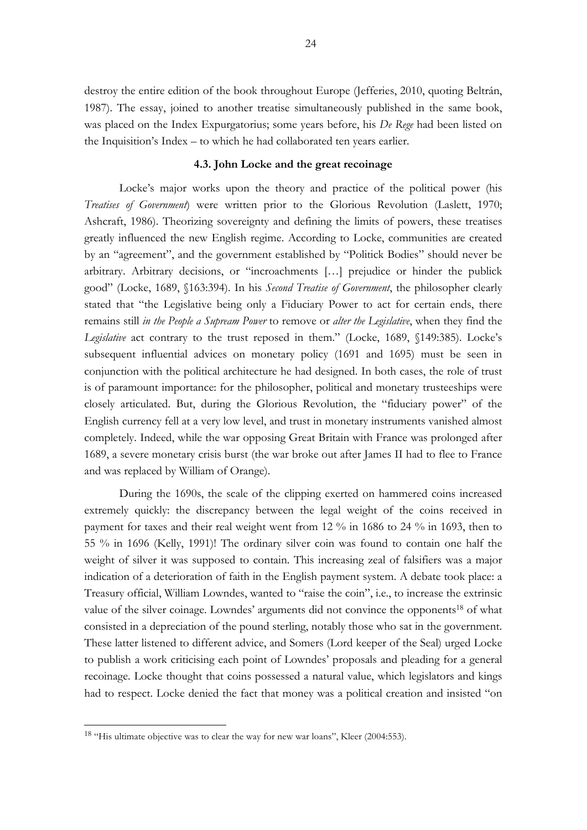destroy the entire edition of the book throughout Europe (Jefferies, 2010, quoting Beltrán, 1987). The essay, joined to another treatise simultaneously published in the same book, was placed on the Index Expurgatorius; some years before, his *De Rege* had been listed on the Inquisition's Index – to which he had collaborated ten years earlier.

#### **4.3. John Locke and the great recoinage**

Locke's major works upon the theory and practice of the political power (his *Treatises of Government*) were written prior to the Glorious Revolution (Laslett, 1970; Ashcraft, 1986). Theorizing sovereignty and defining the limits of powers, these treatises greatly influenced the new English regime. According to Locke, communities are created by an "agreement", and the government established by "Politick Bodies" should never be arbitrary. Arbitrary decisions, or "incroachments […] prejudice or hinder the publick good" (Locke, 1689, §163:394). In his *Second Treatise of Government*, the philosopher clearly stated that "the Legislative being only a Fiduciary Power to act for certain ends, there remains still *in the People a Supream Power* to remove or *alter the Legislative*, when they find the Legislative act contrary to the trust reposed in them." (Locke, 1689, §149:385). Locke's subsequent influential advices on monetary policy (1691 and 1695) must be seen in conjunction with the political architecture he had designed. In both cases, the role of trust is of paramount importance: for the philosopher, political and monetary trusteeships were closely articulated. But, during the Glorious Revolution, the "fiduciary power" of the English currency fell at a very low level, and trust in monetary instruments vanished almost completely. Indeed, while the war opposing Great Britain with France was prolonged after 1689, a severe monetary crisis burst (the war broke out after James II had to flee to France and was replaced by William of Orange).

During the 1690s, the scale of the clipping exerted on hammered coins increased extremely quickly: the discrepancy between the legal weight of the coins received in payment for taxes and their real weight went from 12 % in 1686 to 24 % in 1693, then to 55 % in 1696 (Kelly, 1991)! The ordinary silver coin was found to contain one half the weight of silver it was supposed to contain. This increasing zeal of falsifiers was a major indication of a deterioration of faith in the English payment system. A debate took place: a Treasury official, William Lowndes, wanted to "raise the coin", i.e., to increase the extrinsic value of the silver coinage. Lowndes' arguments did not convince the opponents<sup>18</sup> of what consisted in a depreciation of the pound sterling, notably those who sat in the government. These latter listened to different advice, and Somers (Lord keeper of the Seal) urged Locke to publish a work criticising each point of Lowndes' proposals and pleading for a general recoinage. Locke thought that coins possessed a natural value, which legislators and kings had to respect. Locke denied the fact that money was a political creation and insisted "on

<sup>&</sup>lt;sup>18</sup> "His ultimate objective was to clear the way for new war loans", Kleer (2004:553).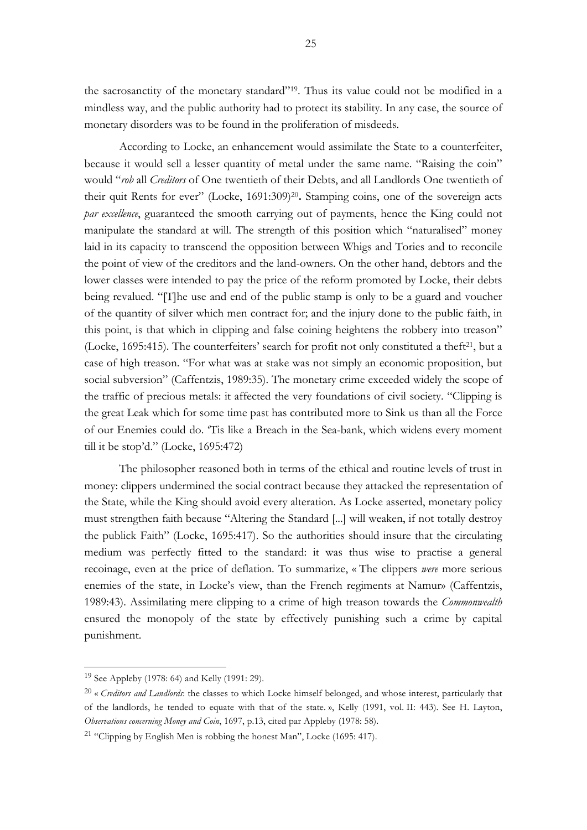the sacrosanctity of the monetary standard"19. Thus its value could not be modified in a mindless way, and the public authority had to protect its stability. In any case, the source of monetary disorders was to be found in the proliferation of misdeeds.

According to Locke, an enhancement would assimilate the State to a counterfeiter, because it would sell a lesser quantity of metal under the same name. "Raising the coin" would "*rob* all *Creditors* of One twentieth of their Debts, and all Landlords One twentieth of their quit Rents for ever" (Locke, 1691:309)<sup>20</sup>. Stamping coins, one of the sovereign acts *par excellence*, guaranteed the smooth carrying out of payments, hence the King could not manipulate the standard at will. The strength of this position which "naturalised" money laid in its capacity to transcend the opposition between Whigs and Tories and to reconcile the point of view of the creditors and the land-owners. On the other hand, debtors and the lower classes were intended to pay the price of the reform promoted by Locke, their debts being revalued. "[T]he use and end of the public stamp is only to be a guard and voucher of the quantity of silver which men contract for; and the injury done to the public faith, in this point, is that which in clipping and false coining heightens the robbery into treason" (Locke, 1695:415). The counterfeiters' search for profit not only constituted a theft $21$ , but a case of high treason. "For what was at stake was not simply an economic proposition, but social subversion" (Caffentzis, 1989:35). The monetary crime exceeded widely the scope of the traffic of precious metals: it affected the very foundations of civil society. "Clipping is the great Leak which for some time past has contributed more to Sink us than all the Force of our Enemies could do. 'Tis like a Breach in the Sea-bank, which widens every moment till it be stop'd." (Locke, 1695:472)

The philosopher reasoned both in terms of the ethical and routine levels of trust in money: clippers undermined the social contract because they attacked the representation of the State, while the King should avoid every alteration. As Locke asserted, monetary policy must strengthen faith because "Altering the Standard [...] will weaken, if not totally destroy the publick Faith" (Locke, 1695:417). So the authorities should insure that the circulating medium was perfectly fitted to the standard: it was thus wise to practise a general recoinage, even at the price of deflation. To summarize, « The clippers *were* more serious enemies of the state, in Locke's view, than the French regiments at Namur» (Caffentzis, 1989:43). Assimilating mere clipping to a crime of high treason towards the *Commonwealth* ensured the monopoly of the state by effectively punishing such a crime by capital punishment.

<sup>19</sup> See Appleby (1978: 64) and Kelly (1991: 29).

<sup>20</sup> « *Creditors and Landlords*: the classes to which Locke himself belonged, and whose interest, particularly that of the landlords, he tended to equate with that of the state. », Kelly (1991, vol. II: 443). See H. Layton, *Observations concerning Money and Coin*, 1697, p.13, cited par Appleby (1978: 58).

<sup>21</sup> "Clipping by English Men is robbing the honest Man", Locke (1695: 417).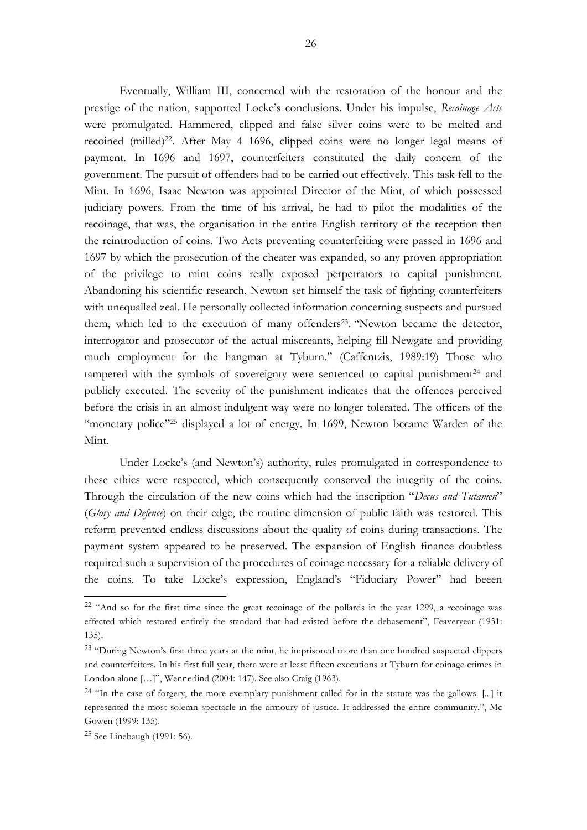Eventually, William III, concerned with the restoration of the honour and the prestige of the nation, supported Locke's conclusions. Under his impulse, *Recoinage Acts* were promulgated. Hammered, clipped and false silver coins were to be melted and recoined (milled)<sup>22</sup>. After May 4 1696, clipped coins were no longer legal means of payment. In 1696 and 1697, counterfeiters constituted the daily concern of the government. The pursuit of offenders had to be carried out effectively. This task fell to the Mint. In 1696, Isaac Newton was appointed Director of the Mint, of which possessed judiciary powers. From the time of his arrival, he had to pilot the modalities of the recoinage, that was, the organisation in the entire English territory of the reception then the reintroduction of coins. Two Acts preventing counterfeiting were passed in 1696 and 1697 by which the prosecution of the cheater was expanded, so any proven appropriation of the privilege to mint coins really exposed perpetrators to capital punishment. Abandoning his scientific research, Newton set himself the task of fighting counterfeiters with unequalled zeal. He personally collected information concerning suspects and pursued them, which led to the execution of many offenders<sup>23</sup>. "Newton became the detector, interrogator and prosecutor of the actual miscreants, helping fill Newgate and providing much employment for the hangman at Tyburn." (Caffentzis, 1989:19) Those who tampered with the symbols of sovereignty were sentenced to capital punishment $^{24}$  and publicly executed. The severity of the punishment indicates that the offences perceived before the crisis in an almost indulgent way were no longer tolerated. The officers of the "monetary police"<sup>25</sup> displayed a lot of energy. In 1699, Newton became Warden of the Mint.

Under Locke's (and Newton's) authority, rules promulgated in correspondence to these ethics were respected, which consequently conserved the integrity of the coins. Through the circulation of the new coins which had the inscription "*Decus and Tutamen*" (*Glory and Defence*) on their edge, the routine dimension of public faith was restored. This reform prevented endless discussions about the quality of coins during transactions. The payment system appeared to be preserved. The expansion of English finance doubtless required such a supervision of the procedures of coinage necessary for a reliable delivery of the coins. To take Locke's expression, England's "Fiduciary Power" had beeen

 $22$  "And so for the first time since the great recoinage of the pollards in the year 1299, a recoinage was effected which restored entirely the standard that had existed before the debasement", Feaveryear (1931: 135).

<sup>&</sup>lt;sup>23</sup> "During Newton's first three years at the mint, he imprisoned more than one hundred suspected clippers and counterfeiters. In his first full year, there were at least fifteen executions at Tyburn for coinage crimes in London alone […]", Wennerlind (2004: 147). See also Craig (1963).

<sup>&</sup>lt;sup>24</sup> "In the case of forgery, the more exemplary punishment called for in the statute was the gallows.  $[...]$  it represented the most solemn spectacle in the armoury of justice. It addressed the entire community.", Mc Gowen (1999: 135).

<sup>25</sup> See Linebaugh (1991: 56).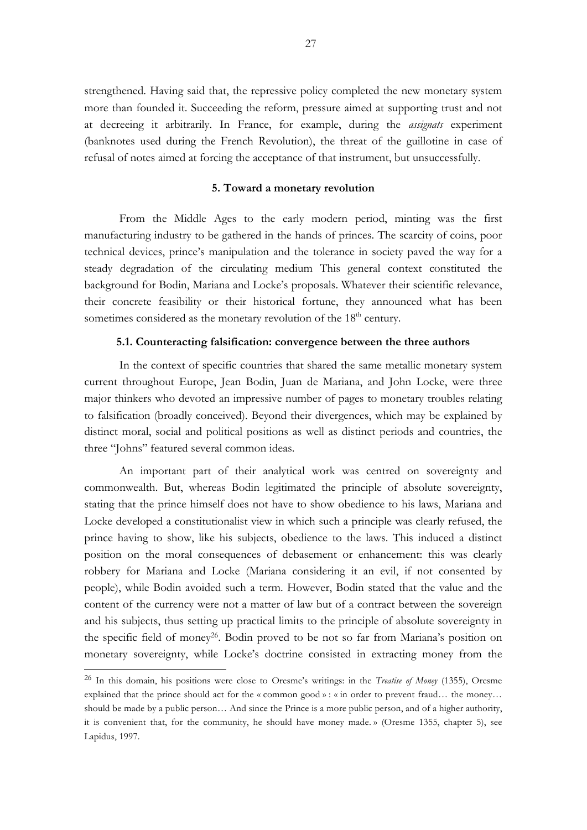strengthened. Having said that, the repressive policy completed the new monetary system more than founded it. Succeeding the reform, pressure aimed at supporting trust and not at decreeing it arbitrarily. In France, for example, during the *assignats* experiment (banknotes used during the French Revolution), the threat of the guillotine in case of refusal of notes aimed at forcing the acceptance of that instrument, but unsuccessfully.

#### **5. Toward a monetary revolution**

From the Middle Ages to the early modern period, minting was the first manufacturing industry to be gathered in the hands of princes. The scarcity of coins, poor technical devices, prince's manipulation and the tolerance in society paved the way for a steady degradation of the circulating medium This general context constituted the background for Bodin, Mariana and Locke's proposals. Whatever their scientific relevance, their concrete feasibility or their historical fortune, they announced what has been sometimes considered as the monetary revolution of the 18<sup>th</sup> century.

#### **5.1. Counteracting falsification: convergence between the three authors**

In the context of specific countries that shared the same metallic monetary system current throughout Europe, Jean Bodin, Juan de Mariana, and John Locke, were three major thinkers who devoted an impressive number of pages to monetary troubles relating to falsification (broadly conceived). Beyond their divergences, which may be explained by distinct moral, social and political positions as well as distinct periods and countries, the three "Johns" featured several common ideas.

An important part of their analytical work was centred on sovereignty and commonwealth. But, whereas Bodin legitimated the principle of absolute sovereignty, stating that the prince himself does not have to show obedience to his laws, Mariana and Locke developed a constitutionalist view in which such a principle was clearly refused, the prince having to show, like his subjects, obedience to the laws. This induced a distinct position on the moral consequences of debasement or enhancement: this was clearly robbery for Mariana and Locke (Mariana considering it an evil, if not consented by people), while Bodin avoided such a term. However, Bodin stated that the value and the content of the currency were not a matter of law but of a contract between the sovereign and his subjects, thus setting up practical limits to the principle of absolute sovereignty in the specific field of money<sup>26</sup>. Bodin proved to be not so far from Mariana's position on monetary sovereignty, while Locke's doctrine consisted in extracting money from the

-

<sup>26</sup> In this domain, his positions were close to Oresme's writings: in the *Treatise of Money* (1355), Oresme explained that the prince should act for the « common good » : « in order to prevent fraud… the money… should be made by a public person… And since the Prince is a more public person, and of a higher authority, it is convenient that, for the community, he should have money made. » (Oresme 1355, chapter 5), see Lapidus, 1997.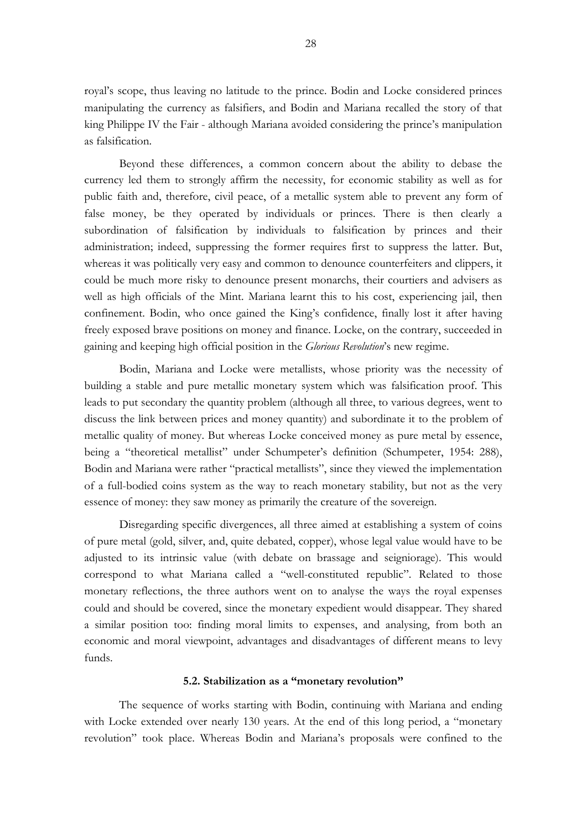royal's scope, thus leaving no latitude to the prince. Bodin and Locke considered princes manipulating the currency as falsifiers, and Bodin and Mariana recalled the story of that king Philippe IV the Fair - although Mariana avoided considering the prince's manipulation as falsification.

Beyond these differences, a common concern about the ability to debase the currency led them to strongly affirm the necessity, for economic stability as well as for public faith and, therefore, civil peace, of a metallic system able to prevent any form of false money, be they operated by individuals or princes. There is then clearly a subordination of falsification by individuals to falsification by princes and their administration; indeed, suppressing the former requires first to suppress the latter. But, whereas it was politically very easy and common to denounce counterfeiters and clippers, it could be much more risky to denounce present monarchs, their courtiers and advisers as well as high officials of the Mint. Mariana learnt this to his cost, experiencing jail, then confinement. Bodin, who once gained the King's confidence, finally lost it after having freely exposed brave positions on money and finance. Locke, on the contrary, succeeded in gaining and keeping high official position in the *Glorious Revolution*'s new regime.

Bodin, Mariana and Locke were metallists, whose priority was the necessity of building a stable and pure metallic monetary system which was falsification proof. This leads to put secondary the quantity problem (although all three, to various degrees, went to discuss the link between prices and money quantity) and subordinate it to the problem of metallic quality of money. But whereas Locke conceived money as pure metal by essence, being a "theoretical metallist" under Schumpeter's definition (Schumpeter, 1954: 288), Bodin and Mariana were rather "practical metallists", since they viewed the implementation of a full-bodied coins system as the way to reach monetary stability, but not as the very essence of money: they saw money as primarily the creature of the sovereign.

Disregarding specific divergences, all three aimed at establishing a system of coins of pure metal (gold, silver, and, quite debated, copper), whose legal value would have to be adjusted to its intrinsic value (with debate on brassage and seigniorage). This would correspond to what Mariana called a "well-constituted republic". Related to those monetary reflections, the three authors went on to analyse the ways the royal expenses could and should be covered, since the monetary expedient would disappear. They shared a similar position too: finding moral limits to expenses, and analysing, from both an economic and moral viewpoint, advantages and disadvantages of different means to levy funds.

### **5.2. Stabilization as a "monetary revolution"**

The sequence of works starting with Bodin, continuing with Mariana and ending with Locke extended over nearly 130 years. At the end of this long period, a "monetary revolution" took place. Whereas Bodin and Mariana's proposals were confined to the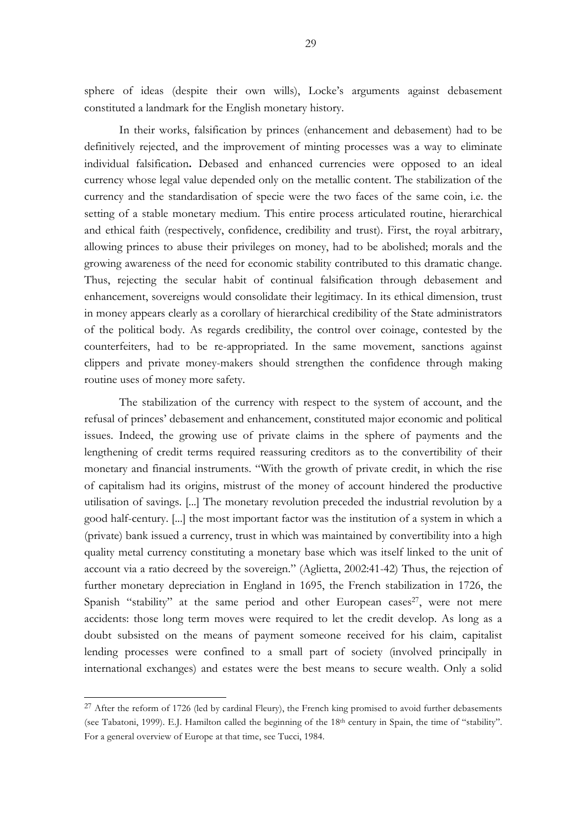sphere of ideas (despite their own wills), Locke's arguments against debasement constituted a landmark for the English monetary history.

In their works, falsification by princes (enhancement and debasement) had to be definitively rejected, and the improvement of minting processes was a way to eliminate individual falsification**.** Debased and enhanced currencies were opposed to an ideal currency whose legal value depended only on the metallic content. The stabilization of the currency and the standardisation of specie were the two faces of the same coin, i.e. the setting of a stable monetary medium. This entire process articulated routine, hierarchical and ethical faith (respectively, confidence, credibility and trust). First, the royal arbitrary, allowing princes to abuse their privileges on money, had to be abolished; morals and the growing awareness of the need for economic stability contributed to this dramatic change. Thus, rejecting the secular habit of continual falsification through debasement and enhancement, sovereigns would consolidate their legitimacy. In its ethical dimension, trust in money appears clearly as a corollary of hierarchical credibility of the State administrators of the political body. As regards credibility, the control over coinage, contested by the counterfeiters, had to be re-appropriated. In the same movement, sanctions against clippers and private money-makers should strengthen the confidence through making routine uses of money more safety.

The stabilization of the currency with respect to the system of account, and the refusal of princes' debasement and enhancement, constituted major economic and political issues. Indeed, the growing use of private claims in the sphere of payments and the lengthening of credit terms required reassuring creditors as to the convertibility of their monetary and financial instruments. "With the growth of private credit, in which the rise of capitalism had its origins, mistrust of the money of account hindered the productive utilisation of savings. [...] The monetary revolution preceded the industrial revolution by a good half-century. [...] the most important factor was the institution of a system in which a (private) bank issued a currency, trust in which was maintained by convertibility into a high quality metal currency constituting a monetary base which was itself linked to the unit of account via a ratio decreed by the sovereign." (Aglietta, 2002:41-42) Thus, the rejection of further monetary depreciation in England in 1695, the French stabilization in 1726, the Spanish "stability" at the same period and other European cases<sup>27</sup>, were not mere accidents: those long term moves were required to let the credit develop. As long as a doubt subsisted on the means of payment someone received for his claim, capitalist lending processes were confined to a small part of society (involved principally in international exchanges) and estates were the best means to secure wealth. Only a solid

<sup>&</sup>lt;sup>27</sup> After the reform of 1726 (led by cardinal Fleury), the French king promised to avoid further debasements (see Tabatoni, 1999). E.J. Hamilton called the beginning of the 18th century in Spain, the time of "stability". For a general overview of Europe at that time, see Tucci, 1984.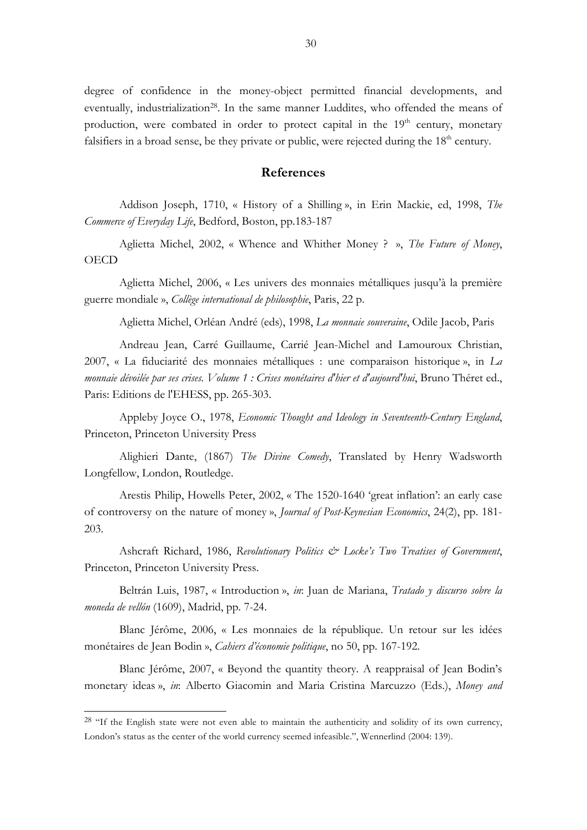degree of confidence in the money-object permitted financial developments, and eventually, industrialization<sup>28</sup>. In the same manner Luddites, who offended the means of production, were combated in order to protect capital in the  $19<sup>th</sup>$  century, monetary falsifiers in a broad sense, be they private or public, were rejected during the  $18<sup>th</sup>$  century.

### **References**

Addison Joseph, 1710, « History of a Shilling », in Erin Mackie, ed, 1998, *The Commerce of Everyday Life*, Bedford, Boston, pp.183-187

Aglietta Michel, 2002, « Whence and Whither Money ? », *The Future of Money*, **OECD** 

Aglietta Michel, 2006, « Les univers des monnaies métalliques jusqu'à la première guerre mondiale », *Collège international de philosophie*, Paris, 22 p.

Aglietta Michel, Orléan André (eds), 1998, *La monnaie souveraine*, Odile Jacob, Paris

Andreau Jean, Carré Guillaume, Carrié Jean-Michel and Lamouroux Christian, 2007, « La fiduciarité des monnaies métalliques : une comparaison historique », in *La monnaie dévoilée par ses crises. Volume 1 : Crises monétaires d'hier et d'aujourd'hui*, Bruno Théret ed., Paris: Editions de l'EHESS, pp. 265-303.

Appleby Joyce O., 1978, *Economic Thought and Ideology in Seventeenth-Century England*, Princeton, Princeton University Press

Alighieri Dante, (1867) *The Divine Comedy*, Translated by Henry Wadsworth Longfellow, London, Routledge.

Arestis Philip, Howells Peter, 2002, « The 1520-1640 'great inflation': an early case of controversy on the nature of money », *Journal of Post-Keynesian Economics*, 24(2), pp. 181- 203.

Ashcraft Richard, 1986, *Revolutionary Politics & Locke's Two Treatises of Government*, Princeton, Princeton University Press.

Beltrán Luis, 1987, « Introduction », *in*: Juan de Mariana, *Tratado y discurso sobre la moneda de vellón* (1609), Madrid, pp. 7-24.

Blanc Jérôme, 2006, « Les monnaies de la république. Un retour sur les idées monétaires de Jean Bodin », *Cahiers d'économie politique*, no 50, pp. 167-192.

Blanc Jérôme, 2007, « Beyond the quantity theory. A reappraisal of Jean Bodin's monetary ideas », *in*: Alberto Giacomin and Maria Cristina Marcuzzo (Eds.), *Money and* 

 $28$  "If the English state were not even able to maintain the authenticity and solidity of its own currency, London's status as the center of the world currency seemed infeasible.", Wennerlind (2004: 139).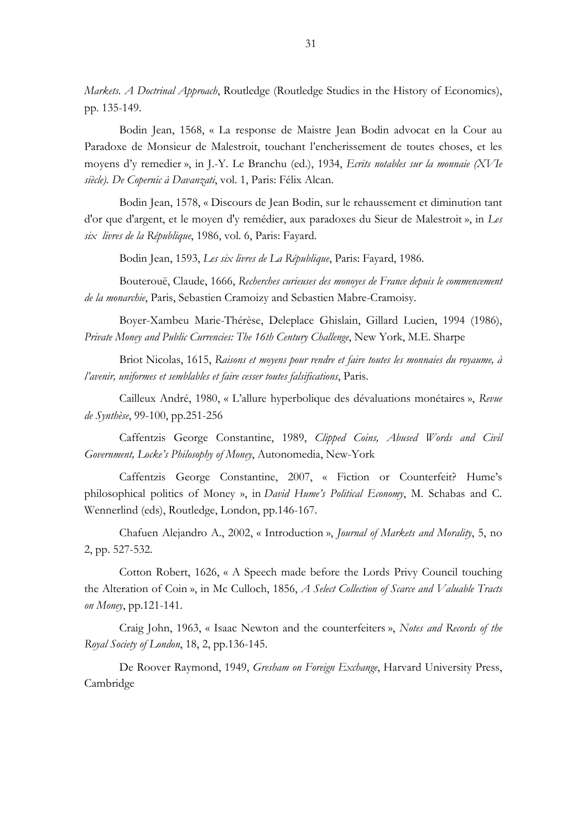*Markets. A Doctrinal Approach*, Routledge (Routledge Studies in the History of Economics), pp. 135-149.

Bodin Jean, 1568, « La response de Maistre Jean Bodin advocat en la Cour au Paradoxe de Monsieur de Malestroit, touchant l'encherissement de toutes choses, et les moyens d'y remedier », in J.-Y. Le Branchu (ed.), 1934, *Ecrits notables sur la monnaie (XVIe siècle). De Copernic à Davanzati*, vol. 1, Paris: Félix Alcan.

Bodin Jean, 1578, « Discours de Jean Bodin, sur le rehaussement et diminution tant d'or que d'argent, et le moyen d'y remédier, aux paradoxes du Sieur de Malestroit », in *Les six livres de la République*, 1986, vol. 6, Paris: Fayard.

Bodin Jean, 1593, *Les six livres de La République*, Paris: Fayard, 1986.

Bouterouë, Claude, 1666, *Recherches curieuses des monoyes de France depuis le commencement de la monarchie*, Paris, Sebastien Cramoizy and Sebastien Mabre-Cramoisy.

Boyer-Xambeu Marie-Thérèse, Deleplace Ghislain, Gillard Lucien, 1994 (1986), *Private Money and Public Currencies: The 16th Century Challenge*, New York, M.E. Sharpe

Briot Nicolas, 1615, *Raisons et moyens pour rendre et faire toutes les monnaies du royaume, à l'avenir, uniformes et semblables et faire cesser toutes falsifications*, Paris.

Cailleux André, 1980, « L'allure hyperbolique des dévaluations monétaires », *Revue de Synthèse*, 99-100, pp.251-256

Caffentzis George Constantine, 1989, *Clipped Coins, Abused Words and Civil Government, Locke's Philosophy of Money*, Autonomedia, New-York

Caffentzis George Constantine, 2007, « Fiction or Counterfeit? Hume's philosophical politics of Money », in *David Hume's Political Economy*, M. Schabas and C. Wennerlind (eds), Routledge, London, pp.146-167.

Chafuen Alejandro A., 2002, « Introduction », *Journal of Markets and Morality*, 5, no 2, pp. 527-532.

Cotton Robert, 1626, « A Speech made before the Lords Privy Council touching the Alteration of Coin », in Mc Culloch, 1856, *A Select Collection of Scarce and Valuable Tracts on Money*, pp.121-141.

Craig John, 1963, « Isaac Newton and the counterfeiters », *Notes and Records of the Royal Society of London*, 18, 2, pp.136-145.

De Roover Raymond, 1949, *Gresham on Foreign Exchange*, Harvard University Press, Cambridge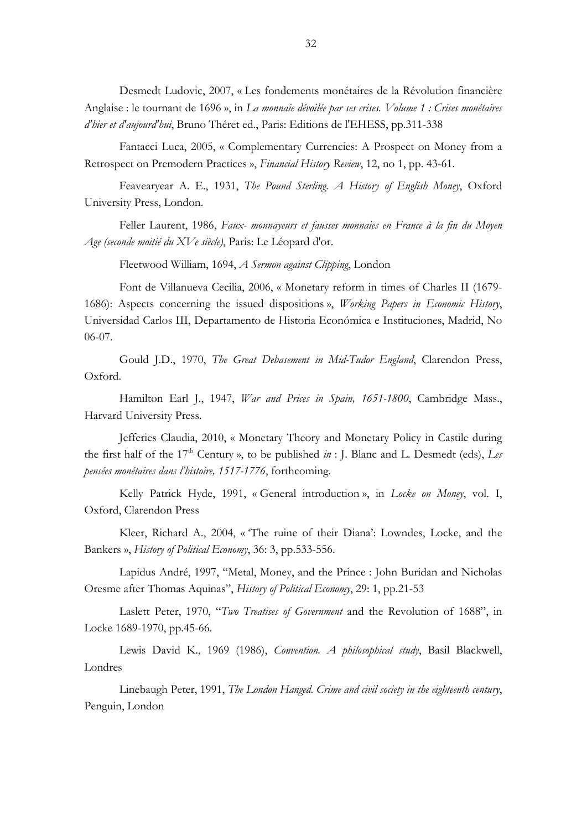Desmedt Ludovic, 2007, « Les fondements monétaires de la Révolution financière Anglaise : le tournant de 1696 », in *La monnaie dévoilée par ses crises. Volume 1 : Crises monétaires d'hier et d'aujourd'hui*, Bruno Théret ed., Paris: Editions de l'EHESS, pp.311-338

Fantacci Luca, 2005, « Complementary Currencies: A Prospect on Money from a Retrospect on Premodern Practices », *Financial History Review*, 12, no 1, pp. 43-61.

Feavearyear A. E., 1931, *The Pound Sterling. A History of English Money*, Oxford University Press, London.

Feller Laurent, 1986, *Faux- monnayeurs et fausses monnaies en France à la fin du Moyen Age (seconde moitié du XVe siècle)*, Paris: Le Léopard d'or.

Fleetwood William, 1694, *A Sermon against Clipping*, London

Font de Villanueva Cecilia, 2006, « Monetary reform in times of Charles II (1679- 1686): Aspects concerning the issued dispositions », *Working Papers in Economic History*, Universidad Carlos III, Departamento de Historia Económica e Instituciones, Madrid, No 06-07.

Gould J.D., 1970, *The Great Debasement in Mid-Tudor England*, Clarendon Press, Oxford.

Hamilton Earl J., 1947, *War and Prices in Spain, 1651-1800*, Cambridge Mass., Harvard University Press.

Jefferies Claudia, 2010, « Monetary Theory and Monetary Policy in Castile during the first half of the 17<sup>th</sup> Century », to be published  $in$  : J. Blanc and L. Desmedt (eds), *Les pensées monétaires dans l'histoire, 1517-1776*, forthcoming.

Kelly Patrick Hyde, 1991, « General introduction », in *Locke on Money*, vol. I, Oxford, Clarendon Press

Kleer, Richard A., 2004, « 'The ruine of their Diana': Lowndes, Locke, and the Bankers », *History of Political Economy*, 36: 3, pp.533-556.

Lapidus André, 1997, "Metal, Money, and the Prince : John Buridan and Nicholas Oresme after Thomas Aquinas", *History of Political Economy*, 29: 1, pp.21-53

Laslett Peter, 1970, "*Two Treatises of Government* and the Revolution of 1688", in Locke 1689-1970, pp.45-66.

Lewis David K., 1969 (1986), *Convention. A philosophical study*, Basil Blackwell, Londres

Linebaugh Peter, 1991, *The London Hanged. Crime and civil society in the eighteenth century*, Penguin, London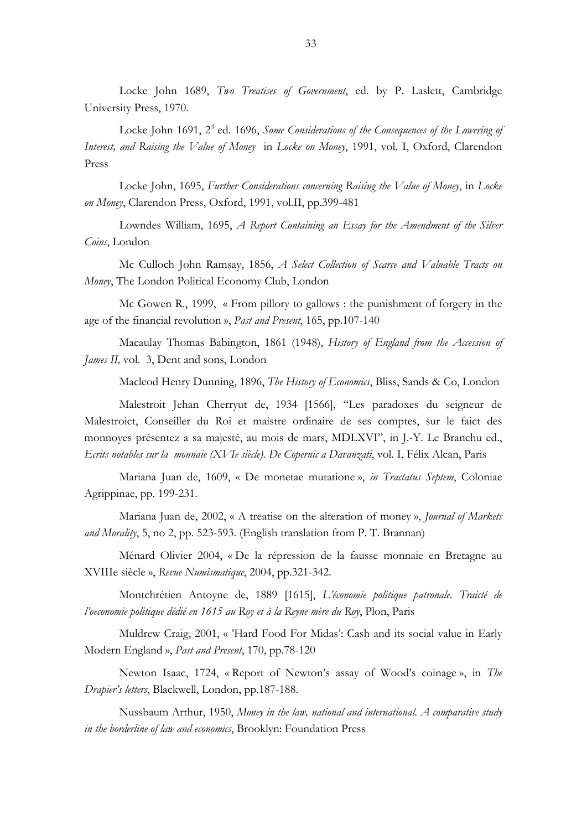Locke John 1689, *Two Treatises of Government*, ed. by P. Laslett, Cambridge University Press, 1970.

Locke John 1691, 2<sup>d</sup> ed. 1696, *Some Considerations of the Consequences of the Lowering of Interest, and Raising the Value of Money* in *Locke on Money*, 1991, vol. I, Oxford, Clarendon Press

Locke John, 1695, *Further Considerations concerning Raising the Value of Money*, in *Locke on Money*, Clarendon Press, Oxford, 1991, vol.II, pp.399-481

Lowndes William, 1695, *A Report Containing an Essay for the Amendment of the Silver Coins*, London

Mc Culloch John Ramsay, 1856, *A Select Collection of Scarce and Valuable Tracts on Money*, The London Political Economy Club, London

Mc Gowen R., 1999, « From pillory to gallows : the punishment of forgery in the age of the financial revolution », *Past and Present*, 165, pp.107-140

Macaulay Thomas Babington, 1861 (1948), *History of England from the Accession of James II*, vol. 3, Dent and sons, London

Macleod Henry Dunning, 1896, *The History of Economics*, Bliss, Sands & Co, London

Malestroit Jehan Cherryut de, 1934 [1566], "Les paradoxes du seigneur de Malestroict, Conseiller du Roi et maistre ordinaire de ses comptes, sur le faict des monnoyes présentez a sa majesté, au mois de mars, MDLXVI", in J.-Y. Le Branchu ed., *Ecrits notables sur la monnaie (XVIe siècle). De Copernic a Davanzati*, vol. I, Félix Alcan, Paris

Mariana Juan de, 1609, « De monetae mutatione », *in Tractatus Septem*, Coloniae Agrippinae, pp. 199-231.

Mariana Juan de, 2002, « A treatise on the alteration of money », *Journal of Markets and Morality*, 5, no 2, pp. 523-593. (English translation from P. T. Brannan)

Ménard Olivier 2004, « De la répression de la fausse monnaie en Bretagne au XVIIIe siècle », *Revue Numismatique*, 2004, pp.321-342.

Montchrétien Antoyne de, 1889 [1615], *L'économie politique patronale. Traicté de l'oeconomie politique dédié en 1615 au Roy et à la Reyne mère du Roy*, Plon, Paris

Muldrew Craig, 2001, « 'Hard Food For Midas': Cash and its social value in Early Modern England », *Past and Present*, 170, pp.78-120

Newton Isaac, 1724, « Report of Newton's assay of Wood's coinage », in *The Drapier's letters*, Blackwell, London, pp.187-188.

Nussbaum Arthur, 1950, *Money in the law, national and international. A comparative study in the borderline of law and economics*, Brooklyn: Foundation Press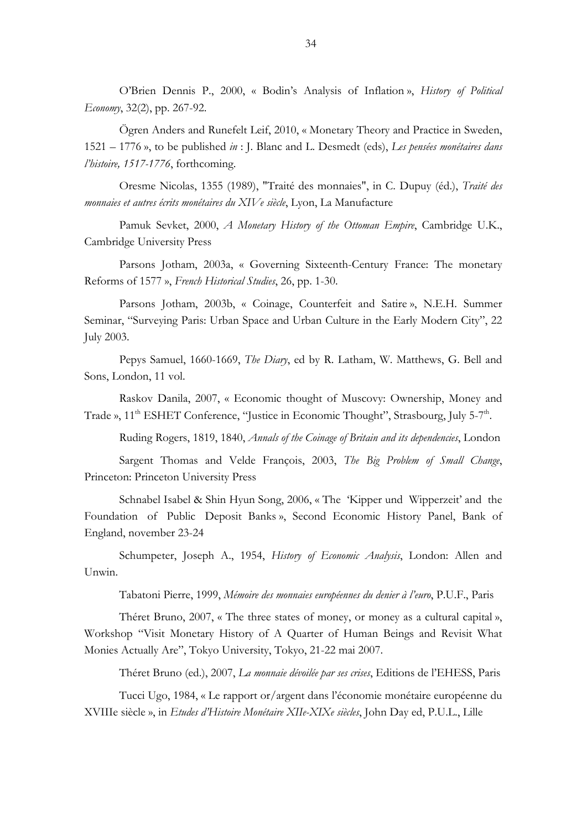O'Brien Dennis P., 2000, « Bodin's Analysis of Inflation », *History of Political Economy*, 32(2), pp. 267-92.

Ögren Anders and Runefelt Leif, 2010, « Monetary Theory and Practice in Sweden, 1521 – 1776 », to be published *in* : J. Blanc and L. Desmedt (eds), *Les pensées monétaires dans l'histoire, 1517-1776*, forthcoming.

Oresme Nicolas, 1355 (1989), "Traité des monnaies", in C. Dupuy (éd.), *Traité des monnaies et autres écrits monétaires du XIVe siècle*, Lyon, La Manufacture

Pamuk Sevket, 2000, *A Monetary History of the Ottoman Empire*, Cambridge U.K., Cambridge University Press

Parsons Jotham, 2003a, « Governing Sixteenth-Century France: The monetary Reforms of 1577 », *French Historical Studies*, 26, pp. 1-30.

Parsons Jotham, 2003b, « Coinage, Counterfeit and Satire », N.E.H. Summer Seminar, "Surveying Paris: Urban Space and Urban Culture in the Early Modern City", 22 July 2003.

Pepys Samuel, 1660-1669, *The Diary*, ed by R. Latham, W. Matthews, G. Bell and Sons, London, 11 vol.

Raskov Danila, 2007, « Economic thought of Muscovy: Ownership, Money and Trade », 11<sup>th</sup> ESHET Conference, "Justice in Economic Thought", Strasbourg, July 5-7<sup>th</sup>.

Ruding Rogers, 1819, 1840, *Annals of the Coinage of Britain and its dependencies*, London

Sargent Thomas and Velde François, 2003, *The Big Problem of Small Change*, Princeton: Princeton University Press

Schnabel Isabel & Shin Hyun Song, 2006, « The 'Kipper und Wipperzeit' and the Foundation of Public Deposit Banks », Second Economic History Panel, Bank of England, november 23-24

Schumpeter, Joseph A., 1954, *History of Economic Analysis*, London: Allen and Unwin.

Tabatoni Pierre, 1999, *Mémoire des monnaies européennes du denier à l'euro*, P.U.F., Paris

Théret Bruno, 2007, « The three states of money, or money as a cultural capital », Workshop "Visit Monetary History of A Quarter of Human Beings and Revisit What Monies Actually Are", Tokyo University, Tokyo, 21-22 mai 2007.

Théret Bruno (ed.), 2007, *La monnaie dévoilée par ses crises*, Editions de l'EHESS, Paris

Tucci Ugo, 1984, « Le rapport or/argent dans l'économie monétaire européenne du XVIIIe siècle », in *Etudes d'Histoire Monétaire XIIe-XIXe siècles*, John Day ed, P.U.L., Lille